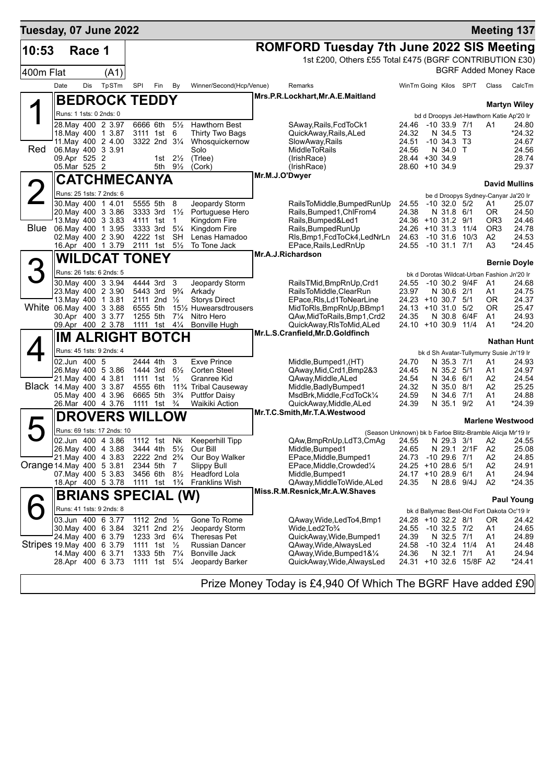| Tuesday, 07 June 2022     |              |        |                                               |               |                                                        |                                  |                                                                        |                                                                                                         |                                          |                       |                         |                        | <b>Meeting 137</b>                          |
|---------------------------|--------------|--------|-----------------------------------------------|---------------|--------------------------------------------------------|----------------------------------|------------------------------------------------------------------------|---------------------------------------------------------------------------------------------------------|------------------------------------------|-----------------------|-------------------------|------------------------|---------------------------------------------|
| 10:53                     |              | Race 1 |                                               |               |                                                        |                                  |                                                                        | <b>ROMFORD Tuesday 7th June 2022 SIS Meeting</b>                                                        |                                          |                       |                         |                        |                                             |
|                           |              |        |                                               |               |                                                        |                                  |                                                                        | 1st £200, Others £55 Total £475 (BGRF CONTRIBUTION £30)                                                 |                                          |                       |                         |                        |                                             |
| 400m Flat                 |              |        | (A1)                                          |               |                                                        |                                  |                                                                        |                                                                                                         |                                          |                       |                         |                        | <b>BGRF Added Money Race</b>                |
|                           | Date         | Dis    | TpSTm                                         | SPI           | Fin                                                    | By                               | Winner/Second(Hcp/Venue)                                               | Remarks                                                                                                 | WinTm Going Kilos SP/T                   |                       |                         | Class                  | CalcTm                                      |
|                           |              |        |                                               |               |                                                        |                                  |                                                                        | Mrs.P.R.Lockhart, Mr.A.E.Maitland                                                                       |                                          |                       |                         |                        |                                             |
|                           |              |        | <b>BEDROCK TEDDY</b>                          |               |                                                        |                                  |                                                                        |                                                                                                         |                                          |                       |                         |                        | <b>Martyn Wiley</b>                         |
|                           |              |        | Runs: 1 1sts: 0 2nds: 0                       |               |                                                        |                                  |                                                                        |                                                                                                         |                                          |                       |                         |                        | bd d Droopys Jet-Hawthorn Katie Ap'20 Ir    |
|                           |              |        | 28. May 400 2 3.97                            |               | 6666 6th                                               | $5\frac{1}{2}$                   | <b>Hawthorn Best</b>                                                   | SAway, Rails, FcdToCk1                                                                                  | 24.46                                    | -10 33.9 7/1          |                         | A1                     | 24.80                                       |
|                           |              |        | 18. May 400 1 3.87<br>11. May 400 2 4.00      |               | 3111 1st 6<br>3322 2nd 31/4                            |                                  | Thirty Two Bags<br>Whosquickernow                                      | QuickAway,Rails,ALed<br>SlowAway, Rails                                                                 | 24.32<br>24.51                           | N 34.5<br>$-10, 34.3$ | - тз<br>Т3              |                        | *24.32<br>24.67                             |
| Red                       |              |        | 06. May 400 3 3.91                            |               |                                                        |                                  | Solo                                                                   | MiddleToRails                                                                                           | 24.56                                    | N 34.0                | T                       |                        | 24.56                                       |
|                           | 09.Apr 525 2 |        |                                               |               |                                                        | 1st $2\frac{1}{2}$               | (Triee)                                                                | (IrishRace)                                                                                             | 28.44 +30 34.9                           |                       |                         |                        | 28.74                                       |
|                           | 05.Mar 525 2 |        |                                               |               |                                                        | 5th $9\frac{1}{2}$               | (Cork)                                                                 | (IrishRace)<br>Mr.M.J.O'Dwyer                                                                           | 28.60 +10 34.9                           |                       |                         |                        | 29.37                                       |
|                           |              |        | CATCHMECANYA                                  |               |                                                        |                                  |                                                                        |                                                                                                         |                                          |                       |                         |                        | <b>David Mullins</b>                        |
|                           |              |        | Runs: 25 1sts: 7 2nds: 6                      |               |                                                        |                                  |                                                                        |                                                                                                         |                                          |                       |                         |                        | be d Droopys Sydney-Canyar Ja'20 Ir         |
|                           |              |        | 30. May 400 1 4.01                            |               | 5555 5th                                               | 8                                | Jeopardy Storm                                                         | RailsToMiddle, BumpedRunUp                                                                              | 24.55                                    | $-10$ 32.0 $5/2$      |                         | Α1                     | 25.07                                       |
|                           |              |        | 20. May 400 3 3.86                            |               | 3333 3rd                                               | $1\frac{1}{2}$                   | Portuguese Hero                                                        | Rails, Bumped 1, ChlFrom 4                                                                              | 24.38                                    | N 31.8 6/1            |                         | 0R                     | 24.50                                       |
| <b>Blue</b>               |              |        | 13. May 400 3 3.83<br>06. May 400 1 3.95      |               | 4111 1st<br>3333 3rd                                   | $\overline{1}$<br>$5\frac{1}{4}$ | Kingdom Fire<br>Kingdom Fire                                           | Rails, Bumped&Led1<br>Rails, Bumped RunUp                                                               | 24.36 +10 31.2 9/1<br>24.26 +10 31.3     |                       | 11/4                    | OR3<br>OR <sub>3</sub> | 24.46<br>24.78                              |
|                           |              |        | 02. May 400 2 3.90                            |               | 4222 1st                                               | SH                               | Lenas Hamadoo                                                          | RIs, Bmp1, FcdToCk4, LedNrLn                                                                            | 24.63                                    |                       | $-10$ 31.6 $10/3$       | A2                     | 24.53                                       |
|                           |              |        | 16.Apr 400 1 3.79                             |               | 2111 1st                                               | $5\frac{1}{2}$                   | To Tone Jack                                                           | EPace, Rails, Led RnUp                                                                                  | 24.55                                    | $-10$ 31.1 $7/1$      |                         | A3                     | *24.45                                      |
|                           |              |        | <b>WILDCAT TONEY</b>                          |               |                                                        |                                  |                                                                        | Mr.A.J.Richardson                                                                                       |                                          |                       |                         |                        | <b>Bernie Doyle</b>                         |
|                           |              |        | Runs: 26 1sts: 6 2nds: 5                      |               |                                                        |                                  |                                                                        |                                                                                                         |                                          |                       |                         |                        | bk d Dorotas Wildcat-Urban Fashion Jn'20 Ir |
|                           |              |        | 30 May 400 3 3.94                             |               | 4444 3rd                                               | 3                                | Jeopardy Storm                                                         | RailsTMid,BmpRnUp,Crd1                                                                                  | 24.55                                    |                       | $-10$ 30.2 $9/4F$       | A1                     | 24.68                                       |
|                           |              |        | 23. May 400 2 3.90                            |               | 5443 3rd                                               | $9\frac{3}{4}$                   | Arkady                                                                 | RailsToMiddle.ClearRun                                                                                  | 23.97                                    | N 30.6 2/1            |                         | A1                     | 24.75                                       |
|                           |              |        | 13. May 400 1 3.81<br>White 06 May 400 3 3.88 |               | 2111 2nd $\frac{1}{2}$<br>6555 5th                     |                                  | <b>Storys Direct</b><br>15½ Huwearsdtrousers                           | EPace, RIs, Ld1ToNearLine<br>MidToRIs, BmpRnUp, BBmp1                                                   | 24.23 +10 30.7 5/1<br>24.13 +10 31.0     |                       | 5/2                     | ΟR<br>ΟR               | 24.37<br>25.47                              |
|                           |              |        | 30.Apr 400 3 3.77                             |               | 1255 5th                                               | $7\frac{1}{4}$                   | Nitro Hero                                                             | QAw, Mid To Rails, Bmp1, Crd2                                                                           | 24.35                                    |                       | N 30.8 6/4F             | A1                     | 24.93                                       |
|                           |              |        | 09.Apr 400 2 3.78                             |               | 1111 1st 41/ <sub>4</sub>                              |                                  | Bonville Hugh                                                          | QuickAway, RIsToMid, ALed                                                                               | 24.10 +10 30.9                           |                       | 11/4                    | A1                     | *24.20                                      |
|                           |              |        | ∥IM ALRIGHT BOTCH                             |               |                                                        |                                  |                                                                        | Mr.L.S.Cranfield, Mr.D.Goldfinch                                                                        |                                          |                       |                         |                        | <b>Nathan Hunt</b>                          |
|                           |              |        | Runs: 45 1sts: 9 2nds: 4                      |               |                                                        |                                  |                                                                        |                                                                                                         |                                          |                       |                         |                        | bk d Sh Avatar-Tullymurry Susie Jn'19 Ir    |
|                           | 02.Jun 400 5 |        |                                               |               | 2444 4th                                               | 3                                | <b>Exve Prince</b>                                                     | Middle, Bumped 1, (HT)                                                                                  | 24.70                                    | N 35.3 7/1            |                         | A1                     | 24.93                                       |
|                           |              |        | 26. May 400 5 3.86                            |               | 1444 3rd                                               | $6\frac{1}{2}$                   | <b>Corten Steel</b>                                                    | QAway, Mid, Crd1, Bmp2&3                                                                                | 24.45                                    | N 35.2 5/1            |                         | A1                     | 24.97                                       |
|                           |              |        | 21.May 400 4 3.81<br>Black 14. May 400 3 3.87 |               | 1111 1st                                               | $\frac{1}{2}$                    | Granree Kid                                                            | QAway, Middle, ALed                                                                                     | 24.54                                    | N 34.6 6/1            |                         | A2                     | 24.54                                       |
|                           |              |        | 05. May 400 4 3.96                            |               | 4555 6th<br>6665 5th                                   | $3\frac{3}{4}$                   | 11 <sup>3</sup> / <sub>4</sub> Tribal Causeway<br><b>Puttfor Daisy</b> | Middle, Badly Bumped 1<br>MsdBrk, Middle, FcdToCk1/4                                                    | 24.32<br>24.59                           | N 35.0 8/1<br>N 34.6  | 7/1                     | A2<br>A1               | 25.25<br>24.88                              |
|                           |              |        | 26.Mar 400 4 3.76                             |               | 1111 1st                                               | $\frac{3}{4}$                    | Waikiki Action                                                         | QuickAway,Middle,ALed                                                                                   | 24.39                                    | N 35.1                | 9/2                     | A1                     | *24.39                                      |
|                           |              |        | <b>DROVERS</b>                                | <b>WILLOW</b> |                                                        |                                  |                                                                        | Mr.T.C.Smith, Mr.T.A. Westwood                                                                          |                                          |                       |                         |                        |                                             |
|                           |              |        | Runs: 69 1sts: 17 2nds: 10                    |               |                                                        |                                  |                                                                        |                                                                                                         |                                          |                       |                         |                        | <b>Marlene Westwood</b>                     |
|                           |              |        | 02.Jun 400 4 3.86                             |               | 1112 1st Nk                                            |                                  | Keeperhill Tipp                                                        | (Season Unknown) bk b Farloe Blitz-Bramble Alicja Mr'19 Ir<br>QAw,BmpRnUp,LdT3,CmAg 24.55 N 29.3 3/1 A2 |                                          |                       |                         |                        | 24.55                                       |
|                           |              |        | 26. May 400 4 3.88                            |               | 3444 4th 5 <sup>1</sup> / <sub>2</sub>                 |                                  | Our Bill                                                               | Middle, Bumped 1                                                                                        | 24.65                                    | N 29.1 2/1F           |                         | A2                     | 25.08                                       |
|                           |              |        | 21. May 400 4 3.83                            |               | 2222 2nd 2 <sup>3</sup> / <sub>4</sub>                 |                                  | Our Boy Walker                                                         | EPace, Middle, Bumped1                                                                                  | 24.73                                    | $-10$ 29.6 $7/1$      |                         | A2                     | 24.85                                       |
| Orange 14 May 400 5 3 81  |              |        | 07. May 400 5 3.83                            |               | 2344 5th<br>3456 6th                                   | - 7<br>$8\frac{1}{2}$            | <b>Slippy Bull</b><br>Headford Lola                                    | EPace, Middle, Crowded <sup>1/4</sup><br>Middle, Bumped1                                                | 24.25 +10 28.6 5/1<br>24.17 +10 28.9 6/1 |                       |                         | A <sub>2</sub><br>Α1   | 24.91<br>24.94                              |
|                           |              |        | 18.Apr 400 5 3.78                             |               | 1111 1st 1 <sup>3</sup> / <sub>4</sub>                 |                                  | <b>Franklins Wish</b>                                                  | QAway, Middle To Wide, ALed                                                                             | 24.35                                    | N 28.6 9/4J           |                         | A2                     | *24.35                                      |
|                           |              |        | BRIANS SPECIAL (W)                            |               |                                                        |                                  |                                                                        | Miss.R.M.Resnick, Mr.A.W.Shaves                                                                         |                                          |                       |                         |                        |                                             |
|                           |              |        |                                               |               |                                                        |                                  |                                                                        |                                                                                                         |                                          |                       |                         |                        | <b>Paul Young</b>                           |
|                           |              |        | Runs: 41 1sts: 9 2nds: 8                      |               |                                                        |                                  |                                                                        |                                                                                                         |                                          |                       |                         |                        | bk d Ballymac Best-Old Fort Dakota Oc'19 Ir |
|                           |              |        | 03.Jun 400 6 3.77<br>30. May 400 6 3.84       |               | 1112 2nd 1/2<br>3211 2nd 2 <sup>1</sup> / <sub>2</sub> |                                  | Gone To Rome<br>Jeopardy Storm                                         | QAway, Wide, Led To 4, Bmp1<br>Wide,Led2To <sup>3</sup> /4                                              | 24.28 +10 32.2 8/1<br>24.55              | $-10$ 32.5 $7/2$      |                         | OR<br>A1               | 24.42<br>24.65                              |
|                           |              |        | 24. May 400 6 3.79                            |               | 1233 3rd 61/4                                          |                                  | Theresas Pet                                                           | QuickAway, Wide, Bumped1                                                                                | 24.39                                    | N 32.5 7/1            |                         | A1                     | 24.89                                       |
| Stripes 19 May 400 6 3.79 |              |        |                                               |               | 1111 1st $\frac{1}{2}$                                 |                                  | Russian Dancer                                                         | QAway, Wide, AlwaysLed                                                                                  | 24.58                                    | $-10$ 32.4 $11/4$     |                         | A1                     | 24.48                                       |
|                           |              |        | 14. May 400 6 3.71<br>28.Apr 400 6 3.73       |               | 1333 5th<br>1111 1st 5 <sup>1</sup> / <sub>4</sub>     | $7\frac{1}{4}$                   | <b>Bonville Jack</b><br>Jeopardy Barker                                | QAway, Wide, Bumped 1& 1/4<br>QuickAway, Wide, AlwaysLed                                                | 24.36                                    | N 32.1 7/1            | 24.31 +10 32.6 15/8F A2 | A1                     | 24.94<br>*24.41                             |
|                           |              |        |                                               |               |                                                        |                                  |                                                                        |                                                                                                         |                                          |                       |                         |                        |                                             |
|                           |              |        |                                               |               |                                                        |                                  |                                                                        |                                                                                                         |                                          |                       |                         |                        |                                             |

Prize Money Today is £4,940 Of Which The BGRF Have added £90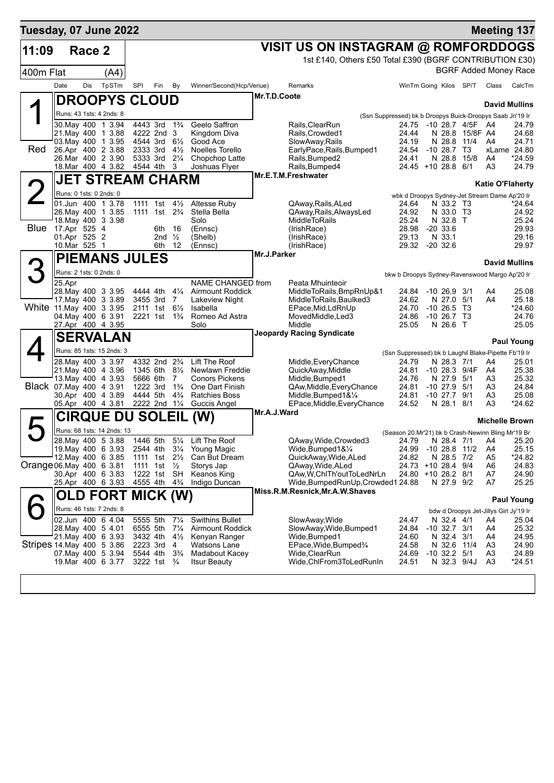| Tuesday, 07 June 2022     |              |        |                                                                |                                                     |                   |                                  |                                              |              |                                                         |                                                           |                                  |                         |                                        | <b>Meeting 137</b> |
|---------------------------|--------------|--------|----------------------------------------------------------------|-----------------------------------------------------|-------------------|----------------------------------|----------------------------------------------|--------------|---------------------------------------------------------|-----------------------------------------------------------|----------------------------------|-------------------------|----------------------------------------|--------------------|
| 11:09                     |              | Race 2 |                                                                |                                                     |                   |                                  |                                              |              | VISIT US ON INSTAGRAM @ ROMFORDDOGS                     |                                                           |                                  |                         |                                        |                    |
|                           |              |        |                                                                |                                                     |                   |                                  |                                              |              | 1st £140, Others £50 Total £390 (BGRF CONTRIBUTION £30) |                                                           |                                  |                         |                                        |                    |
| 400m Flat                 |              |        | (A4)                                                           |                                                     |                   |                                  |                                              |              |                                                         |                                                           |                                  |                         | <b>BGRF Added Money Race</b>           |                    |
|                           | Date         | Dis    | TpSTm                                                          | SPI                                                 | Fin               | By                               | Winner/Second(Hcp/Venue)                     |              | Remarks                                                 |                                                           | WinTm Going Kilos SP/T           |                         | Class                                  | CalcTm             |
|                           |              |        | <b>DROOPYS CLOUD</b>                                           |                                                     |                   |                                  |                                              | Mr.T.D.Coote |                                                         |                                                           |                                  |                         |                                        |                    |
|                           |              |        | Runs: 43 1sts: 4 2nds: 8                                       |                                                     |                   |                                  |                                              |              |                                                         | (Ssn Suppressed) bk b Droopys Buick-Droopys Saab Jn'19 Ir |                                  |                         | <b>David Mullins</b>                   |                    |
|                           |              |        | 30.May 400 1 3.94                                              | 4443 3rd 1 <sup>3</sup> / <sub>4</sub>              |                   |                                  | Geelo Saffron                                |              | Rails, ClearRun                                         |                                                           | 24.75 -10 28.7 4/5F A4           |                         |                                        | 24.79              |
|                           |              |        | 21. May 400 1 3.88<br>03. May 400 1 3.95                       | 4222 2nd 3<br>4544 3rd                              |                   | $6\frac{1}{2}$                   | Kingdom Diva<br>Good Ace                     |              | Rails.Crowded1                                          | 24.44<br>24.19                                            | N 28.8                           | 15/8F A4<br>N 28.8 11/4 | A4                                     | 24.68<br>24.71     |
| Red                       |              |        | 26.Apr 400 2 3.88                                              | 2333 3rd                                            |                   | $4\frac{1}{2}$                   | Noelles Torello                              |              | SlowAway,Rails<br>EarlyPace, Rails, Bumped1             | 24.54                                                     | $-1028.7$ T3                     |                         |                                        | xLame 24.80        |
|                           |              |        | 26.Mar 400 2 3.90                                              | 5333 3rd                                            |                   | $2\frac{1}{4}$                   | Chopchop Latte                               |              | Rails, Bumped2                                          | 24.41                                                     | N 28.8                           | 15/8                    | A4                                     | *24.59             |
|                           |              |        | 18.Mar 400 4 3.82                                              | 4544 4th                                            |                   | 3                                | Joshuas Flyer                                |              | Rails, Bumped4<br>Mr.E.T.M.Freshwater                   |                                                           | 24.45 +10 28.8 6/1               |                         | A3                                     | 24.79              |
|                           |              |        | <b>JET STREAM CHARM</b>                                        |                                                     |                   |                                  |                                              |              |                                                         |                                                           |                                  |                         | <b>Katie O'Flaherty</b>                |                    |
|                           |              |        | Runs: 0 1sts: 0 2nds: 0<br>01.Jun 400 1 3.78                   | 1111                                                | 1st               | $4\frac{1}{2}$                   | Altesse Ruby                                 |              | QAway, Rails, ALed                                      | wbk d Droopys Sydney-Jet Stream Dame Ap'20 Ir<br>24.64    | N 33.2 T3                        |                         |                                        | *24.64             |
|                           |              |        | 26. May 400 1 3.85                                             | 1111 1st 2 <sup>3</sup> / <sub>4</sub>              |                   |                                  | Stella Bella                                 |              | QAway, Rails, Always Led                                | 24.92                                                     | N 33.0 T3                        |                         |                                        | 24.92              |
| <b>Blue</b>               | 17.Apr 525 4 |        | 18. May 400 3 3.98                                             |                                                     | 6th               | - 16                             | Solo<br>(Ennsc)                              |              | <b>MiddleToRails</b><br>(IrishRace)                     | 25.24<br>28.98                                            | N 32.8 T<br>$-20, 33.6$          |                         |                                        | 25.24<br>29.93     |
|                           | 01.Apr 525 2 |        |                                                                |                                                     | 2nd $\frac{1}{2}$ |                                  | (Shelb)                                      |              | (IrishRace)                                             | 29.13                                                     | N 33.1                           |                         |                                        | 29.16              |
|                           | 10.Mar 525 1 |        |                                                                |                                                     | 6th               | 12                               | (Ennsc)                                      |              | (IrishRace)                                             | 29.32                                                     | $-20, 32.6$                      |                         |                                        | 29.97              |
|                           |              |        | <b>PIEMANS JULES</b>                                           |                                                     |                   |                                  |                                              | Mr.J.Parker  |                                                         |                                                           |                                  |                         | <b>David Mullins</b>                   |                    |
|                           |              |        | Runs: 2 1sts: 0 2nds: 0                                        |                                                     |                   |                                  |                                              |              |                                                         | bkw b Droopys Sydney-Ravenswood Margo Ap'20 Ir            |                                  |                         |                                        |                    |
|                           | 25.Apr       |        | 28. May 400 3 3.95                                             | 4444 4th                                            |                   | $4\frac{1}{4}$                   | NAME CHANGED from<br><b>Airmount Roddick</b> |              | Peata Mhuinteoir<br>MiddleToRails, BmpRnUp&1            | 24.84                                                     | $-10, 26.9$                      | 3/1                     | A4                                     | 25.08              |
|                           |              |        | 17. May 400 3 3.89                                             | 3455 3rd                                            |                   | 7                                | Lakeview Night                               |              | MiddleToRails, Baulked3                                 | 24.62                                                     | N 27.0                           | 5/1                     | A4                                     | 25.18              |
| White 11 May 400 3 3.95   |              |        |                                                                | 2111 1st                                            |                   | $6\frac{1}{2}$                   | Isabella                                     |              | EPace, Mid, LdRnUp                                      | 24.70                                                     | $-10, 26.5$                      | - ТЗ                    |                                        | *24.60             |
|                           |              |        | 04. May 400 6 3.91<br>27.Apr 400 4 3.95                        | 2221 1st 1 <sup>3</sup> / <sub>4</sub>              |                   |                                  | Romeo Ad Astra<br>Solo                       |              | MovedMiddle, Led3<br>Middle                             | 24.86<br>25.05                                            | $-10$ 26.7 T3<br>N 26.6 T        |                         |                                        | 24.76<br>25.05     |
|                           |              |        | <b>SERVALAN</b>                                                |                                                     |                   |                                  |                                              |              | <b>Jeopardy Racing Syndicate</b>                        |                                                           |                                  |                         |                                        |                    |
|                           |              |        | Runs: 85 1sts: 15 2nds: 3                                      |                                                     |                   |                                  |                                              |              |                                                         | (Ssn Suppressed) bk b Laughil Blake-Pipette Fb'19 Ir      |                                  |                         |                                        | <b>Paul Young</b>  |
|                           |              |        | 28.May 400 3 3.97                                              | 4332 2nd 2 <sup>3</sup> / <sub>4</sub>              |                   |                                  | Lift The Roof                                |              | Middle,EveryChance                                      | 24.79                                                     | N 28.3 7/1                       |                         | A4                                     | 25.01              |
|                           |              |        | 21. May 400 4 3.96<br>13. May 400 4 3.93                       | 1345 6th<br>5666 6th                                |                   | $8\frac{1}{2}$<br>$7^{\circ}$    | Newlawn Freddie<br><b>Conors Pickens</b>     |              | QuickAway, Middle<br>Middle, Bumped1                    | 24.81<br>24.76                                            | $-10$ 28.3 $9/4F$<br>N 27.9      | 5/1                     | A4<br>A3                               | 25.38<br>25.32     |
| Black 07 May 400 4 3.91   |              |        |                                                                | 1222 3rd                                            |                   | $1\frac{3}{4}$                   | One Dart Finish                              |              | QAw, Middle, Every Chance                               | 24.81                                                     | $-1027.9$                        | 5/1                     | A3                                     | 24.84              |
|                           |              |        | 30.Apr 400 4 3.89<br>05.Apr 400 4 3.81                         | 4444 5th<br>2222 2nd 11/4                           |                   | $4\frac{3}{4}$                   | <b>Ratchies Boss</b><br>Guccis Angel         |              | Middle, Bumped 1& 1/4<br>EPace, Middle, Every Chance    | 24.81<br>24.52                                            | $-10$ 27.7 $9/1$<br>N 28.1 8/1   |                         | A3<br>A3                               | 25.08<br>*24.62    |
|                           |              |        |                                                                |                                                     |                   |                                  | (W)                                          | Mr.A.J.Ward  |                                                         |                                                           |                                  |                         |                                        |                    |
|                           |              |        | <b>CIRQUE DU</b>                                               |                                                     | <b>SOLEIL</b>     |                                  |                                              |              |                                                         |                                                           |                                  |                         | <b>Michelle Brown</b>                  |                    |
|                           |              |        | Runs: 68 1sts: 14 2nds: 13<br>28. May 400 5 3.88 1446 5th 51/4 |                                                     |                   |                                  | Lift The Roof                                |              | QAway, Wide, Crowded 3                                  | (Season 20.Mr'21) bk b Crash-Newinn Bling Mr'19 Br        | 24.79 N 28.4 7/1 A4              |                         |                                        | 25.20              |
|                           |              |        | 19. May 400 6 3.93                                             | 2544 4th 31⁄4                                       |                   |                                  | Young Magic                                  |              | Wide, Bumped $18\%$                                     |                                                           | 24.99 -10 28.8 11/2              |                         | A4                                     | 25.15              |
| Orange 06. May 400 6 3.81 |              |        | 12. May 400 6 3.85                                             | 1111 1st 21/ <sub>2</sub><br>1111 1st $\frac{1}{2}$ |                   |                                  | Can But Dream<br>Storys Jap                  |              | QuickAway, Wide, ALed<br>QAway, Wide, ALed              | 24.82                                                     | N 28.5 7/2<br>24.73 +10 28.4 9/4 |                         | A5<br>A6                               | *24.82<br>24.83    |
|                           |              |        | 30.Apr 400 6 3.83                                              | 1222 1st SH                                         |                   |                                  | <b>Keanos King</b>                           |              | QAw, W, ChlTh'out To Led Nr Ln                          |                                                           | 24.80 +10 28.2 8/1               |                         | A7                                     | 24.90              |
|                           |              |        | 25.Apr 400 6 3.93 4555 4th 43/4                                |                                                     |                   |                                  | Indigo Duncan                                |              | Wide, Bumped Run Up, Crowded 1 24.88                    |                                                           | N 27.9 9/2                       |                         | A7                                     | 25.25              |
|                           |              |        | <b>OLD FORT MICK (W)</b>                                       |                                                     |                   |                                  |                                              |              | Miss.R.M.Resnick, Mr.A.W.Shaves                         |                                                           |                                  |                         |                                        | <b>Paul Young</b>  |
|                           |              |        | Runs: 46 1sts: 7 2nds: 8                                       |                                                     |                   |                                  |                                              |              |                                                         |                                                           |                                  |                         | bdw d Droopys Jet-Jillys Girl Jy'19 Ir |                    |
|                           |              |        | 02.Jun 400 6 4.04                                              | 5555 5th                                            |                   | $7\frac{1}{4}$                   | <b>Swithins Bullet</b>                       |              | SlowAway, Wide                                          | 24.47                                                     | N 32.4 4/1                       |                         | A4                                     | 25.04              |
|                           |              |        | 28. May 400 5 4.01<br>21. May 400 6 3.93                       | 6555 5th<br>3432 4th                                |                   | $7\frac{1}{4}$<br>$4\frac{1}{2}$ | <b>Airmount Roddick</b><br>Kenyan Ranger     |              | SlowAway, Wide, Bumped1<br>Wide, Bumped1                | 24.84<br>24.60                                            | $-10$ 32.7 $3/1$<br>N 32.4 3/1   |                         | A4<br>A4                               | 25.32<br>24.95     |
| Stripes 14 May 400 5 3.86 |              |        |                                                                | 2223 3rd                                            |                   | -4                               | Watsons Lane                                 |              | EPace, Wide, Bumped <sup>3</sup> /4                     | 24.58                                                     | N 32.6 11/4                      |                         | A3                                     | 24.90              |
|                           |              |        | 07. May 400 5 3.94<br>19.Mar 400 6 3.77                        | 5544 4th<br>3222 1st $\frac{3}{4}$                  |                   | $3\frac{3}{4}$                   | Madabout Kacey<br><b>Itsur Beauty</b>        |              | Wide,ClearRun<br>Wide, ChlFrom3ToLedRunIn               | 24.69<br>24.51                                            | $-10$ 32.2 $5/1$                 | N 32.3 9/4J             | A3<br>A3                               | 24.89<br>$*24.51$  |
|                           |              |        |                                                                |                                                     |                   |                                  |                                              |              |                                                         |                                                           |                                  |                         |                                        |                    |
|                           |              |        |                                                                |                                                     |                   |                                  |                                              |              |                                                         |                                                           |                                  |                         |                                        |                    |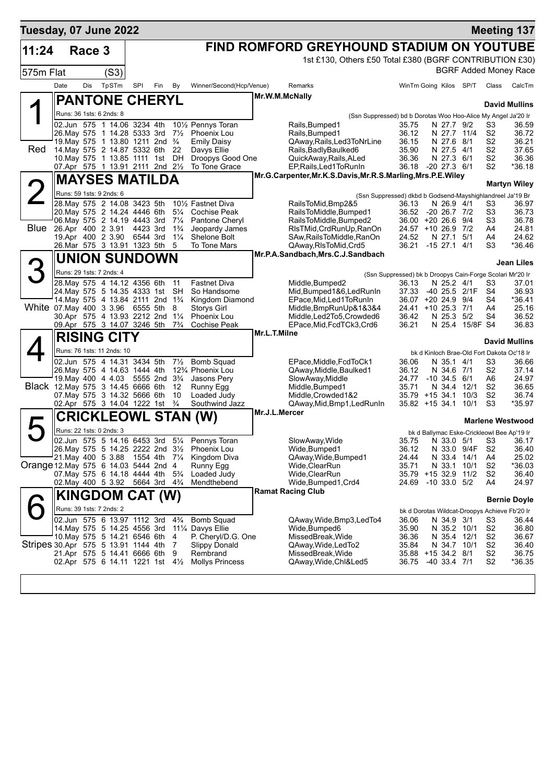| Tuesday, 07 June 2022                |      |        |                                                                                                                         |     |     |                                  |                                                                                                |                |                                                                                 |                                                           |                                               |                           |                                  | <b>Meeting 137</b>           |
|--------------------------------------|------|--------|-------------------------------------------------------------------------------------------------------------------------|-----|-----|----------------------------------|------------------------------------------------------------------------------------------------|----------------|---------------------------------------------------------------------------------|-----------------------------------------------------------|-----------------------------------------------|---------------------------|----------------------------------|------------------------------|
| 11:24                                |      | Race 3 |                                                                                                                         |     |     |                                  |                                                                                                |                | FIND ROMFORD GREYHOUND STADIUM ON YOUTUBE                                       |                                                           |                                               |                           |                                  |                              |
|                                      |      |        |                                                                                                                         |     |     |                                  |                                                                                                |                | 1st £130, Others £50 Total £380 (BGRF CONTRIBUTION £30)                         |                                                           |                                               |                           |                                  |                              |
| 575m Flat                            |      |        | (S3)                                                                                                                    |     |     |                                  |                                                                                                |                |                                                                                 |                                                           |                                               |                           |                                  | <b>BGRF Added Money Race</b> |
|                                      | Date | Dis    | TpSTm                                                                                                                   | SPI | Fin | By                               | Winner/Second(Hcp/Venue)                                                                       |                | Remarks                                                                         |                                                           | WinTm Going Kilos SP/T                        |                           | Class                            | CalcTm                       |
|                                      |      |        | <b>PANTONE CHERYL</b>                                                                                                   |     |     |                                  |                                                                                                | Mr.W.M.McNally |                                                                                 |                                                           |                                               |                           |                                  |                              |
|                                      |      |        |                                                                                                                         |     |     |                                  |                                                                                                |                |                                                                                 |                                                           |                                               |                           |                                  | <b>David Mullins</b>         |
|                                      |      |        | Runs: 36 1sts: 6 2nds: 8<br>02.Jun 575 1 14.06 3234 4th                                                                 |     |     |                                  |                                                                                                |                | (Ssn Suppressed) bd b Dorotas Woo Hoo-Alice My Angel Ja'20 Ir                   |                                                           |                                               |                           |                                  | 36.59                        |
|                                      |      |        | 26. May 575 1 14.28 5333 3rd                                                                                            |     |     | $7\frac{1}{2}$                   | 10 <sup>1</sup> / <sub>2</sub> Pennys Toran<br>Phoenix Lou                                     |                | Rails, Bumped1<br>Rails, Bumped1                                                | 35.75<br>36.12                                            |                                               | N 27.7 9/2<br>N 27.7 11/4 | S3<br>S <sub>2</sub>             | 36.72                        |
|                                      |      |        | 19. May 575 1 13.80 1211 2nd 3/4                                                                                        |     |     |                                  | <b>Emily Daisy</b>                                                                             |                | QAway, Rails, Led 3 To Nr Line                                                  | 36.15                                                     | N 27.6                                        | 8/1                       | S2                               | 36.21                        |
| Red                                  |      |        | 14. May 575 2 14.87 5332 6th<br>10. May 575 1 13.85 1111 1st DH                                                         |     |     | 22                               | Davys Ellie<br>Droopys Good One                                                                |                | Rails, Badly Baulked 6<br>QuickAway, Rails, ALed                                | 35.90<br>36.36                                            | N 27.5                                        | -4/1<br>N 27.3 6/1        | S <sub>2</sub><br>S <sub>2</sub> | 37.65<br>36.36               |
|                                      |      |        | 07.Apr 575 1 13.91 2111 2nd 21/2                                                                                        |     |     |                                  | To Tone Grace                                                                                  |                | EP, Rails, Led 1 To Run In                                                      | 36.18                                                     | -20 27.3 6/1                                  |                           | S <sub>2</sub>                   | *36.18                       |
|                                      |      |        | <b>MAYSES MATILDA</b>                                                                                                   |     |     |                                  |                                                                                                |                | Mr.G.Carpenter, Mr.K.S.Davis, Mr.R.S.Marling, Mrs.P.E.Wiley                     |                                                           |                                               |                           |                                  |                              |
|                                      |      |        | Runs: 59 1sts: 9 2nds: 6                                                                                                |     |     |                                  |                                                                                                |                |                                                                                 |                                                           |                                               |                           |                                  | <b>Martyn Wiley</b>          |
|                                      |      |        | 28. May 575 2 14.08 3423 5th                                                                                            |     |     |                                  | 10 <sup>1</sup> / <sub>2</sub> Fastnet Diva                                                    |                | (Ssn Suppressed) dkbd b Godsend-Mayshighlandreel Ja'19 Br<br>RailsToMid, Bmp2&5 | 36.13                                                     |                                               | N 26.9 4/1                | S3                               | 36.97                        |
|                                      |      |        | 20. May 575 2 14.24 4446 6th                                                                                            |     |     | $5\frac{1}{4}$                   | Cochise Peak                                                                                   |                | RailsToMiddle, Bumped1                                                          |                                                           | 36.52 -20 26.7 7/2                            |                           | S3                               | 36.73                        |
| <b>Blue</b>                          |      |        | 06. May 575 2 14.19 4443 3rd                                                                                            |     |     | $7\frac{1}{4}$<br>$1\frac{3}{4}$ | Pantone Cheryl                                                                                 |                | RailsToMiddle, Bumped2                                                          |                                                           | 36.00 +20 26.6 9/4                            |                           | S3                               | 36.78                        |
|                                      |      |        | 26.Apr 400 2 3.91 4423 3rd<br>19.Apr 400 2 3.90 6544 3rd                                                                |     |     | $1\frac{1}{4}$                   | Jeopardy James<br>Shelone Bolt                                                                 |                | RIsTMid, CrdRunUp, RanOn<br>SAw, Rails To Middle, RanOn                         | 24.52                                                     | 24.57 +10 26.9 7/2                            | N 27.1 5/1                | A4<br>A4                         | 24.81<br>24.62               |
|                                      |      |        | 26.Mar 575 3 13.91 1323 5th                                                                                             |     |     | - 5                              | To Tone Mars                                                                                   |                | QAway, RIsToMid, Crd5                                                           | 36.21                                                     | $-15$ 27.1 $4/1$                              |                           | S3                               | *36.46                       |
|                                      |      |        | <b>UNION SUNDOWN</b>                                                                                                    |     |     |                                  |                                                                                                |                | Mr.P.A.Sandbach, Mrs.C.J.Sandbach                                               |                                                           |                                               |                           |                                  | Jean Liles                   |
|                                      |      |        | Runs: 29 1sts: 7 2nds: 4                                                                                                |     |     |                                  |                                                                                                |                |                                                                                 | (Ssn Suppressed) bk b Droopys Cain-Forge Scolari Mr'20 Ir |                                               |                           |                                  |                              |
|                                      |      |        | 28. May 575 4 14.12 4356 6th                                                                                            |     |     | 11                               | <b>Fastnet Diva</b>                                                                            |                | Middle, Bumped2                                                                 | 36.13                                                     |                                               | N 25.2 4/1                | S3                               | 37.01                        |
|                                      |      |        | 24. May 575 5 14.35 4333 1st                                                                                            |     |     | <b>SH</b>                        | So Handsome                                                                                    |                | Mid, Bumped 1&6, Led RunIn                                                      | 37.33                                                     |                                               | -40 25.5 2/1F             | S4                               | 36.93                        |
| White 07. May 400 3 3.96 6555 5th    |      |        | 14. May 575 4 13.84 2111 2nd 13/4                                                                                       |     |     | 8                                | Kingdom Diamond<br><b>Storys Girl</b>                                                          |                | EPace, Mid, Led 1 To Run In<br>Middle, BmpRunUp&1&3&4                           |                                                           | 36.07 +20 24.9 9/4<br>24.41 +10 25.3 7/1      |                           | S4<br>A4                         | *36.41<br>25.16              |
|                                      |      |        | 30.Apr 575 4 13.93 2212 2nd                                                                                             |     |     | $1\frac{1}{4}$                   | <b>Phoenix Lou</b>                                                                             |                | Middle, Led2To5, Crowded6                                                       | 36.42                                                     |                                               | N 25.3 5/2                | S4                               | 36.52                        |
|                                      |      |        | 09.Apr 575 3 14.07 3246 5th                                                                                             |     |     | $7\frac{3}{4}$                   | Cochise Peak                                                                                   | Mr.L.T.Milne   | EPace, Mid, FcdTCk3, Crd6                                                       | 36.21                                                     |                                               | N 25.4 15/8F S4           |                                  | 36.83                        |
|                                      |      |        | <b>RISING CITY</b>                                                                                                      |     |     |                                  |                                                                                                |                |                                                                                 |                                                           |                                               |                           |                                  | <b>David Mullins</b>         |
|                                      |      |        | Runs: 76 1sts: 11 2nds: 10                                                                                              |     |     |                                  |                                                                                                |                |                                                                                 |                                                           | bk d Kinloch Brae-Old Fort Dakota Oc'18 Ir    |                           |                                  |                              |
|                                      |      |        | 02.Jun 575 4 14.31 3434 5th                                                                                             |     |     | $7\frac{1}{2}$                   | <b>Bomb Squad</b>                                                                              |                | EPace, Middle, FcdToCk1                                                         | 36.06                                                     |                                               | N 35.1 4/1                | S3                               | 36.66                        |
|                                      |      |        | 26. May 575 4 14.63 1444 4th<br>19. May 400 4 4.03 5555 2nd 3 <sup>3</sup> / <sub>4</sub>                               |     |     |                                  | 12 <sup>3</sup> / <sub>4</sub> Phoenix Lou<br>Jasons Pery                                      |                | QAway, Middle, Baulked1<br>SlowAway, Middle                                     | 36.12<br>24.77                                            | $-10, 34.5, 6/1$                              | N 34.6 7/1                | S <sub>2</sub><br>A6             | 37.14<br>24.97               |
| Black 12. May 575 3 14.45 6666 6th   |      |        |                                                                                                                         |     |     | 12                               | Runny Egg                                                                                      |                | Middle, Bumped 1                                                                | 35.71                                                     | N 34.4                                        | 12/1                      | S <sub>2</sub>                   | 36.65                        |
|                                      |      |        | 07. May 575 3 14.32 5666 6th                                                                                            |     |     | 10                               | Loaded Judy                                                                                    |                | Middle, Crowded 1&2                                                             |                                                           | $35.79$ +15 34.1                              | 10/3<br>10/1              | S <sub>2</sub><br>S <sub>3</sub> | 36.74<br>*35.97              |
|                                      |      |        | 02.Apr 575 3 14.04 1222 1st                                                                                             |     |     | $\frac{3}{4}$                    | Southwind Jazz                                                                                 | Mr.J.L.Mercer  | QAway, Mid, Bmp1, Led Run In                                                    |                                                           | $35.82 + 15.34.1$                             |                           |                                  |                              |
|                                      |      |        |                                                                                                                         |     |     |                                  | <b>CRICKLEOWL STAN (W)</b>                                                                     |                |                                                                                 |                                                           |                                               |                           |                                  | <b>Marlene Westwood</b>      |
|                                      |      |        | Runs: 22 1sts: 0 2nds: 3                                                                                                |     |     |                                  |                                                                                                |                |                                                                                 |                                                           | bk d Ballymac Eske-Crickleowl Bee Ap'19 Ir    |                           |                                  |                              |
|                                      |      |        |                                                                                                                         |     |     |                                  | 02.Jun 575 5 14.16 6453 3rd 51/4 Pennys Toran<br>26. May 575 5 14.25 2222 2nd 31/2 Phoenix Lou |                | SlowAway, Wide<br>Wide, Bumped1                                                 | 36.12                                                     | 35.75 N 33.0 5/1 S3 36.17                     | N 33.0 9/4F               | S <sub>2</sub>                   | 36.40                        |
|                                      |      |        | 21. May 400 5 3.88                                                                                                      |     |     |                                  | 1554 4th 7¼ Kingdom Diva                                                                       |                | QAway, Wide, Bumped1                                                            | 24.44                                                     |                                               | N 33.4 14/1               | A4                               | 25.02                        |
| Orange 12 May 575 6 14 03 5444 2nd 4 |      |        |                                                                                                                         |     |     |                                  | Runny Egg                                                                                      |                | Wide,ClearRun                                                                   | 35.71                                                     |                                               | N 33.1 10/1               | S <sub>2</sub>                   | *36.03                       |
|                                      |      |        | 07. May 575 6 14.18 4444 4th 5 <sup>3</sup> / <sub>4</sub><br>02. May 400 5 3.92 5664 3rd 4 <sup>3</sup> / <sub>4</sub> |     |     |                                  | Loaded Judy<br>Mendthebend                                                                     |                | Wide, ClearRun<br>Wide, Bumped 1, Crd4                                          |                                                           | 35.79 +15 32.9<br>24.69 -10 33.0 5/2          | 11/2                      | S2<br>A4                         | 36.40<br>24.97               |
|                                      |      |        |                                                                                                                         |     |     |                                  |                                                                                                |                | <b>Ramat Racing Club</b>                                                        |                                                           |                                               |                           |                                  |                              |
|                                      |      |        | <b>KINGDOM CAT (W)</b>                                                                                                  |     |     |                                  |                                                                                                |                |                                                                                 |                                                           |                                               |                           |                                  | <b>Bernie Doyle</b>          |
|                                      |      |        | Runs: 39 1sts: 7 2nds: 2<br>02.Jun 575 6 13.97 1112 3rd                                                                 |     |     | $4\frac{3}{4}$                   | <b>Bomb Squad</b>                                                                              |                | QAway, Wide, Bmp3, Led To4                                                      |                                                           | bk d Dorotas Wildcat-Droopys Achieve Fb'20 Ir |                           |                                  |                              |
|                                      |      |        | 14. May 575 5 14.25 4556 3rd                                                                                            |     |     |                                  | 11¼ Davys Ellie                                                                                |                | Wide, Bumped 6                                                                  | 36.06<br>35.90                                            |                                               | N 34.9 3/1<br>N 35.2 10/1 | S3<br>S2                         | 36.44<br>36.80               |
|                                      |      |        | 10. May 575 5 14.21 6546 6th                                                                                            |     |     | 4                                | P. Cheryl/D.G. One                                                                             |                | MissedBreak,Wide                                                                | 36.36                                                     |                                               | N 35.4 12/1               | S <sub>2</sub>                   | 36.67                        |
| Stripes 30.Apr 575 5 13.91 1144 4th  |      |        | 21.Apr 575 5 14.41 6666 6th                                                                                             |     |     | 7<br>9                           | <b>Slippy Donald</b><br>Rembrand                                                               |                | QAway, Wide, LedTo2<br>MissedBreak, Wide                                        | 35.84                                                     | 35.88 +15 34.2 8/1                            | N 34.7 10/1               | S <sub>2</sub><br>S <sub>2</sub> | 36.40<br>36.75               |
|                                      |      |        | 02.Apr 575 6 14.11 1221 1st $4\frac{1}{2}$                                                                              |     |     |                                  | <b>Mollys Princess</b>                                                                         |                | QAway, Wide, Chl&Led5                                                           | 36.75                                                     | $-40$ 33.4 $7/1$                              |                           | S <sub>2</sub>                   | *36.35                       |
|                                      |      |        |                                                                                                                         |     |     |                                  |                                                                                                |                |                                                                                 |                                                           |                                               |                           |                                  |                              |
|                                      |      |        |                                                                                                                         |     |     |                                  |                                                                                                |                |                                                                                 |                                                           |                                               |                           |                                  |                              |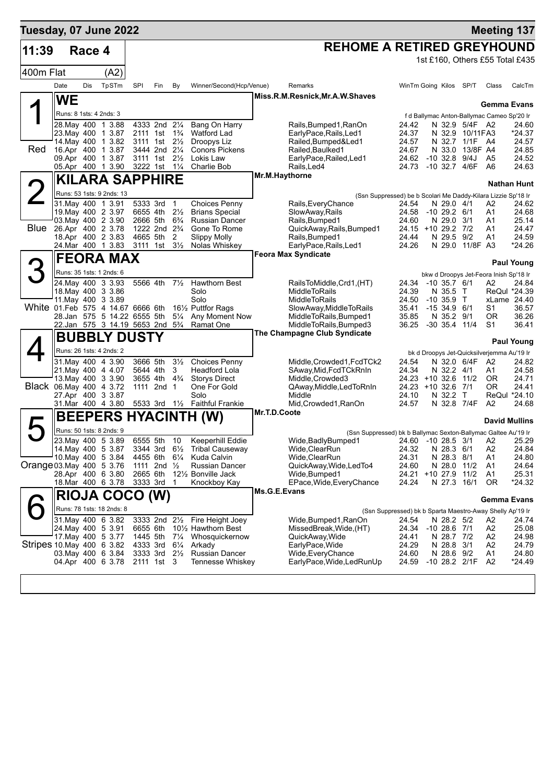| Tuesday, 07 June 2022             |                         |            |                                                           |                      |                                                |                                           |                                                                       |              |                                                                |                                                           |                                |                                    | <b>Meeting 137</b>                                        |                    |
|-----------------------------------|-------------------------|------------|-----------------------------------------------------------|----------------------|------------------------------------------------|-------------------------------------------|-----------------------------------------------------------------------|--------------|----------------------------------------------------------------|-----------------------------------------------------------|--------------------------------|------------------------------------|-----------------------------------------------------------|--------------------|
| 11:39                             |                         | Race 4     |                                                           |                      |                                                |                                           |                                                                       |              | <b>REHOME A RETIRED GREYHOUND</b>                              |                                                           |                                |                                    |                                                           |                    |
|                                   |                         |            |                                                           |                      |                                                |                                           |                                                                       |              |                                                                |                                                           |                                |                                    | 1st £160, Others £55 Total £435                           |                    |
| 400m Flat                         |                         |            | (A2)                                                      |                      |                                                |                                           |                                                                       |              |                                                                |                                                           |                                |                                    |                                                           |                    |
|                                   | Date                    | <b>Dis</b> | TpSTm                                                     | SPI                  | Fin                                            | By                                        | Winner/Second(Hcp/Venue)                                              |              | Remarks                                                        | WinTm Going Kilos SP/T                                    |                                |                                    | Class                                                     | CalcTm             |
|                                   | <b>WE</b>               |            |                                                           |                      |                                                |                                           |                                                                       |              | Miss.R.M.Resnick, Mr.A.W.Shaves                                |                                                           |                                |                                    |                                                           |                    |
|                                   | Runs: 8 1sts: 4 2nds: 3 |            |                                                           |                      |                                                |                                           |                                                                       |              |                                                                |                                                           |                                |                                    | Gemma Evans<br>f d Ballymac Anton-Ballymac Cameo Sp'20 Ir |                    |
|                                   |                         |            | 28. May 400 1 3.88                                        |                      | 4333 2nd 21/4                                  |                                           | Bang On Harry                                                         |              | Rails, Bumped 1, RanOn                                         | 24.42                                                     |                                | N 32.9 5/4F A2                     |                                                           | 24.60              |
|                                   |                         |            | 23. May 400 1 3.87                                        |                      | 2111 1st<br>3111 1st 21/ <sub>2</sub>          | $1\frac{3}{4}$                            | <b>Watford Lad</b>                                                    |              | EarlyPace, Rails, Led1                                         | 24.37                                                     |                                | N 32.9 10/11 FA3<br>N 32.7 1/1F A4 |                                                           | *24.37             |
| Red                               |                         |            | 14. May 400 1 3.82<br>16.Apr 400 1 3.87                   |                      | 3444 2nd 21/4                                  |                                           | Droopys Liz<br><b>Conors Pickens</b>                                  |              | Railed, Bumped&Led1<br>Railed, Baulked1                        | 24.57<br>24.67                                            | N 33.0                         | 13/8F A4                           |                                                           | 24.57<br>24.85     |
|                                   |                         |            | 09.Apr 400 1 3.87                                         |                      | 3111 1st 21/ <sub>2</sub>                      |                                           | Lokis Law                                                             |              | EarlyPace, Railed, Led1                                        | 24.62 -10 32.8 9/4J                                       |                                |                                    | A <sub>5</sub>                                            | 24.52              |
|                                   |                         |            | 05.Apr 400 1 3.90                                         |                      | 3222 1st 11/4                                  |                                           | <b>Charlie Bob</b>                                                    |              | Rails, Led4<br>Mr.M.Haythorne                                  | 24.73                                                     | -10 32.7 4/6F                  |                                    | A6                                                        | 24.63              |
|                                   |                         |            | <b>KILARA SAPPHIRE</b>                                    |                      |                                                |                                           |                                                                       |              |                                                                |                                                           |                                |                                    |                                                           | <b>Nathan Hunt</b> |
|                                   |                         |            | Runs: 53 1sts: 9 2nds: 13<br>31. May 400 1 3.91           |                      |                                                |                                           |                                                                       |              | (Ssn Suppressed) be b Scolari Me Daddy-Kilara Lizzie Sp'18 Ir  |                                                           |                                |                                    |                                                           |                    |
|                                   |                         |            | 19. May 400 2 3.97                                        | 5333 3rd<br>6655 4th |                                                | $\overline{\mathbf{1}}$<br>$2\frac{1}{2}$ | <b>Choices Penny</b><br><b>Brians Special</b>                         |              | Rails, Every Chance<br>SlowAway, Rails                         | 24.54<br>24.58                                            | N 29.0 4/1<br>$-10$ 29.2 $6/1$ |                                    | A2<br>A1                                                  | 24.62<br>24.68     |
|                                   |                         |            | 03. May 400 2 3.90                                        | 2666 5th             |                                                | $6\frac{3}{4}$                            | <b>Russian Dancer</b>                                                 |              | Rails, Bumped1                                                 | 24.60                                                     | N 29.0 3/1                     |                                    | A1                                                        | 25.14              |
| <b>Blue</b>                       |                         |            | 26.Apr 400 2 3.78<br>18.Apr 400 2 3.83                    | 4665 5th             | 1222 2nd 2 <sup>3</sup> / <sub>4</sub>         | 2                                         | Gone To Rome<br><b>Slippy Molly</b>                                   |              | QuickAway, Rails, Bumped1<br>Rails, Bumped1                    | 24.15 +10 29.2 7/2<br>24.44                               | N 29.5 9/2                     |                                    | A1<br>A1                                                  | 24.47<br>24.59     |
|                                   |                         |            | 24.Mar 400 1 3.83                                         |                      | 3111 1st 31/ <sub>2</sub>                      |                                           | Nolas Whiskey                                                         |              | EarlyPace, Rails, Led1                                         | 24.26                                                     |                                | N 29.0 11/8F A3                    |                                                           | *24.26             |
|                                   |                         |            | <b>FEORA MAX</b>                                          |                      |                                                |                                           |                                                                       |              | <b>Feora Max Syndicate</b>                                     |                                                           |                                |                                    |                                                           | <b>Paul Young</b>  |
|                                   |                         |            | Runs: 35 1sts: 1 2nds: 6                                  |                      |                                                |                                           |                                                                       |              |                                                                |                                                           |                                |                                    | bkw d Droopys Jet-Feora Inish Sp'18 Ir                    |                    |
|                                   |                         |            | 24.May 400 3 3.93                                         | 5566 4th             |                                                | $7\frac{1}{2}$                            | <b>Hawthorn Best</b>                                                  |              | (HT), RailsToMiddle,Crd1                                       | 24.34 -10 35.7 6/1                                        |                                |                                    | A2                                                        | 24.84              |
|                                   |                         |            | 18. May 400 3 3.86<br>11 May 400 3 3.89                   |                      |                                                |                                           | Solo<br>Solo                                                          |              | <b>MiddleToRails</b><br>MiddleToRails                          | 24.39<br>24.50                                            | N 35.5 T<br>$-10,35.9$ T       |                                    | ReQul *24.39<br>xLame 24.40                               |                    |
| White 01.Feb 575 4 14.67 6666 6th |                         |            |                                                           |                      |                                                |                                           | 161/ <sub>2</sub> Puttfor Rags                                        |              | SlowAway,MiddleToRails                                         | 35.41                                                     | $-1534.96/1$                   |                                    | S1                                                        | 36.57              |
|                                   |                         |            | 28.Jan 575 5 14.22 6555 5th                               |                      |                                                | $5\frac{1}{4}$                            | Any Moment Now                                                        |              | MiddleToRails, Bumped1                                         | 35.85                                                     | N 35.2 9/1                     |                                    | 0R                                                        | 36.26              |
|                                   |                         |            | 22.Jan 575 3 14.19 5653 2nd 5 <sup>3</sup> / <sub>4</sub> |                      |                                                |                                           | Ramat One                                                             |              | MiddleToRails, Bumped3<br>The Champagne Club Syndicate         | 36.25                                                     | $-30$ 35.4 11/4                |                                    | S1                                                        | 36.41              |
|                                   |                         |            | <b>BUBBLY DUSTY</b>                                       |                      |                                                |                                           |                                                                       |              |                                                                |                                                           |                                |                                    |                                                           | <b>Paul Young</b>  |
|                                   |                         |            | Runs: 26 1sts: 4 2nds: 2<br>31. May 400 4 3.90            | 3666 5th             |                                                | $3\frac{1}{2}$                            | <b>Choices Penny</b>                                                  |              | Middle, Crowded1, FcdTCk2                                      | 24.54                                                     | N 32.0 6/4F                    |                                    | bk d Droopys Jet-Quicksilverjemma Au'19 Ir<br>- A2        | 24.82              |
|                                   |                         |            | 21. May 400 4 4.07                                        | 5644 4th             |                                                | 3                                         | Headford Lola                                                         |              | SAway, Mid, FcdTCkRnIn                                         | 24.34                                                     | N 32.2 4/1                     |                                    | A1                                                        | 24.58              |
|                                   |                         |            | 13. May 400 3 3.90                                        |                      | 3655 4th                                       | $4\frac{3}{4}$                            | <b>Storys Direct</b>                                                  |              | Middle, Crowded3                                               | 24.23 +10 32.6                                            |                                | 11/2                               | <b>OR</b>                                                 | 24.71              |
| Black 06.May 400 4 3.72           |                         |            | 27.Apr 400 3 3.87                                         |                      | 1111 2nd 1                                     |                                           | One For Gold<br>Solo                                                  |              | QAway, Middle, Led To RnIn<br>Middle                           | 24.23 +10 32.6 7/1<br>24.10                               | N 32.2 T                       |                                    | 0R<br>ReQul *24.10                                        | 24.41              |
|                                   |                         |            | 31.Mar 400 4 3.80                                         |                      |                                                |                                           | 5533 3rd 11/2 Faithful Frankie                                        |              | Mid, Crowded1, RanOn                                           | 24.57                                                     | N 32.8 7/4F                    |                                    | A2                                                        | 24.68              |
|                                   |                         |            |                                                           |                      |                                                |                                           | <b>BEEPERS HYACINTH (W)</b>                                           | Mr.T.D.Coote |                                                                |                                                           |                                |                                    | <b>David Mullins</b>                                      |                    |
|                                   |                         |            | Runs: 50 1sts: 8 2nds: 9                                  |                      |                                                |                                           |                                                                       |              | (Ssn Suppressed) bk b Ballymac Sexton-Ballymac Galtee Au'19 Ir |                                                           |                                |                                    |                                                           |                    |
|                                   |                         |            | 23. May 400 5 3.89                                        | 6555 5th 10          |                                                |                                           | Keeperhill Eddie                                                      |              | Wide, Badly Bumped 1                                           | 24.60 -10 28.5 3/1 A2                                     |                                |                                    |                                                           | 25.29              |
|                                   |                         |            | 14. May 400 5 3.87<br>10. May 400 5 3.84                  | 4455 6th             |                                                | $6\frac{1}{4}$                            | 3344 3rd 6 <sup>1</sup> / <sub>2</sub> Tribal Causeway<br>Kuda Calvin |              | Wide, ClearRun<br>Wide, ClearRun                               | 24.32<br>24.31                                            | N 28.3 6/1<br>N 28.3 8/1       |                                    | A2<br>A1                                                  | 24.84<br>24.80     |
| Orange 03. May 400 5 3.76         |                         |            |                                                           |                      | 1111 2nd $\frac{1}{2}$                         |                                           | <b>Russian Dancer</b>                                                 |              | QuickAway,Wide,LedTo4                                          | 24.60                                                     | N 28.0 11/2                    |                                    | A1                                                        | 24.64              |
|                                   |                         |            | 28.Apr 400 6 3.80                                         | 2665 6th             |                                                |                                           | 121/ <sub>2</sub> Bonville Jack                                       |              | Wide, Bumped1                                                  | 24.21 +10 27.9                                            |                                | 11/2                               | A1                                                        | 25.31              |
|                                   |                         |            | 18.Mar 400 6 3.78                                         |                      | 3333 3rd 1                                     |                                           | Knockboy Kay                                                          | Ms.G.E.Evans | EPace, Wide, Every Chance                                      | 24.24                                                     | N 27.3 16/1                    |                                    | 0R                                                        | *24.32             |
|                                   |                         |            | <b>RIOJA COCO (W)</b>                                     |                      |                                                |                                           |                                                                       |              |                                                                |                                                           |                                |                                    | Gemma Evans                                               |                    |
|                                   |                         |            | Runs: 78 1sts: 18 2nds: 8                                 |                      |                                                |                                           |                                                                       |              |                                                                | (Ssn Suppressed) bk b Sparta Maestro-Away Shelly Ap'19 Ir |                                |                                    |                                                           |                    |
|                                   |                         |            | 31. May 400 6 3.82<br>24. May 400 5 3.91                  | 6655 6th             |                                                |                                           | 3333 2nd 21/ <sub>2</sub> Fire Height Joey<br>10½ Hawthorn Best       |              | Wide,Bumped1,RanOn<br>MissedBreak, Wide, (HT)                  | 24.54<br>24.34                                            | N 28.2 5/2<br>$-1028.671$      |                                    | A2<br>A2                                                  | 24.74<br>25.08     |
|                                   |                         |            | 17. May 400 5 3.77                                        | 1445 5th             |                                                | $7\frac{1}{4}$                            | Whosquickernow                                                        |              | QuickAway, Wide                                                | 24.41                                                     | N 28.7 7/2                     |                                    | A <sub>2</sub>                                            | 24.98              |
| Stripes 10. May 400 6 3.82        |                         |            |                                                           | 4333 3rd             |                                                | $6\frac{1}{4}$                            | Arkady                                                                |              | EarlyPace, Wide                                                | 24.29                                                     | N 28.8 3/1                     |                                    | A2                                                        | 24.79              |
|                                   |                         |            | 03. May 400 6 3.84<br>04.Apr 400 6 3.78                   |                      | $3333 \text{ 3rd } 2\frac{1}{2}$<br>2111 1st 3 |                                           | Russian Dancer<br><b>Tennesse Whiskey</b>                             |              | Wide,EveryChance<br>EarlyPace, Wide, Led Run Up                | 24.60<br>24.59                                            | N 28.6 9/2<br>-10 28.2 2/1F    |                                    | A1<br>A2                                                  | 24.80<br>*24.49    |
|                                   |                         |            |                                                           |                      |                                                |                                           |                                                                       |              |                                                                |                                                           |                                |                                    |                                                           |                    |
|                                   |                         |            |                                                           |                      |                                                |                                           |                                                                       |              |                                                                |                                                           |                                |                                    |                                                           |                    |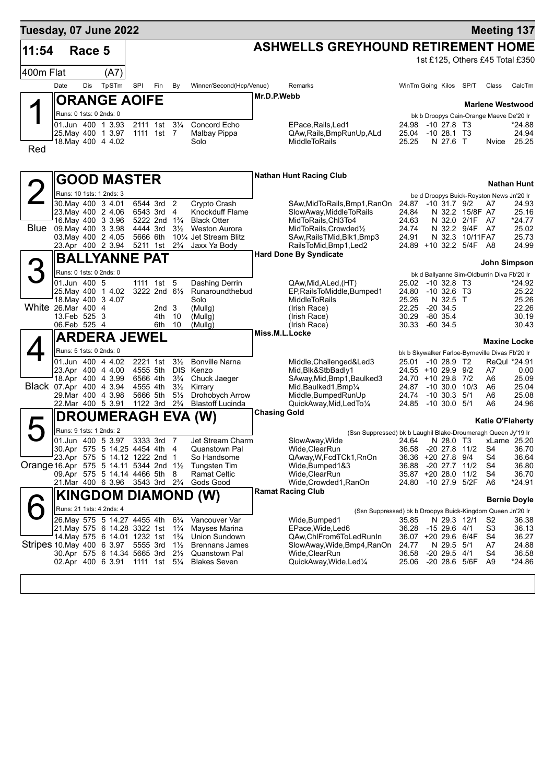| Tuesday, 07 June 2022                             |                         |        |                                                                   |          |                                        |                                  |                                                                                                           |                     |                                                                              |                |                                                                      |                         | <b>Meeting 137</b>  |
|---------------------------------------------------|-------------------------|--------|-------------------------------------------------------------------|----------|----------------------------------------|----------------------------------|-----------------------------------------------------------------------------------------------------------|---------------------|------------------------------------------------------------------------------|----------------|----------------------------------------------------------------------|-------------------------|---------------------|
| 11:54                                             |                         | Race 5 |                                                                   |          |                                        |                                  |                                                                                                           |                     | <b>ASHWELLS GREYHOUND RETIREMENT HOME</b>                                    |                |                                                                      |                         |                     |
| 400m Flat                                         |                         |        | (A7)                                                              |          |                                        |                                  |                                                                                                           |                     |                                                                              |                | 1st £125, Others £45 Total £350                                      |                         |                     |
|                                                   |                         |        |                                                                   |          |                                        |                                  |                                                                                                           |                     |                                                                              |                |                                                                      |                         |                     |
|                                                   | Date                    | Dis    | TpSTm                                                             | SPI      | Fin                                    | By                               | Winner/Second(Hcp/Venue)                                                                                  | Mr.D.P.Webb         | Remarks                                                                      |                | WinTm Going Kilos SP/T                                               | Class                   | CalcTm              |
|                                                   |                         |        | <b>ORANGE AOIFE</b>                                               |          |                                        |                                  |                                                                                                           |                     |                                                                              |                |                                                                      | <b>Marlene Westwood</b> |                     |
|                                                   | Runs: 0 1sts: 0 2nds: 0 |        |                                                                   |          |                                        |                                  |                                                                                                           |                     |                                                                              |                | bk b Droopys Cain-Orange Maeve De'20 Ir                              |                         |                     |
|                                                   |                         |        | 01.Jun 400 1 3.93<br>25. May 400 1 3.97                           |          | 2111 1st 31/4<br>1111 1st 7            |                                  | Concord Echo<br>Malbay Pippa                                                                              |                     | EPace.Rails.Led1<br>QAw, Rails, BmpRunUp, ALd                                | 25.04          | 24.98 -10 27.8 T3<br>-10 28.1 T3                                     |                         | *24.88<br>24.94     |
|                                                   |                         |        | 18. May 400 4 4.02                                                |          |                                        |                                  | Solo                                                                                                      |                     | <b>MiddleToRails</b>                                                         | 25.25          | N 27.6 T                                                             | Nvice                   | 25.25               |
| Red                                               |                         |        |                                                                   |          |                                        |                                  |                                                                                                           |                     |                                                                              |                |                                                                      |                         |                     |
|                                                   |                         |        | <b>GOOD MASTER</b>                                                |          |                                        |                                  |                                                                                                           |                     | <b>Nathan Hunt Racing Club</b>                                               |                |                                                                      |                         |                     |
|                                                   |                         |        |                                                                   |          |                                        |                                  |                                                                                                           |                     |                                                                              |                |                                                                      |                         | <b>Nathan Hunt</b>  |
|                                                   |                         |        | Runs: 10 1sts: 1 2nds: 3<br>30. May 400 3 4.01                    |          | 6544 3rd 2                             |                                  | Crypto Crash                                                                                              |                     | SAw,MidToRails,Bmp1,RanOn                                                    |                | be d Droopys Buick-Royston News Jn'20 Ir<br>24.87 -10 31.7 9/2       | A7                      | 24.93               |
|                                                   |                         |        | 23. May 400 2 4.06                                                |          | 6543 3rd 4                             |                                  | Knockduff Flame                                                                                           |                     | SlowAway,MiddleToRails                                                       | 24.84          | N 32.2 15/8F A7                                                      |                         | 25.16               |
|                                                   |                         |        | 16. May 400 3 3.96<br>Blue 09 May 400 3 3.98                      |          | 5222 2nd 1 <sup>3</sup> / <sub>4</sub> |                                  | <b>Black Otter</b><br><b>Weston Aurora</b>                                                                |                     | MidToRails, Chl3To4                                                          | 24.63          | N 32.0 2/1F A7                                                       |                         | *24.77              |
|                                                   |                         |        | 03. May 400 2 4.05                                                |          | 4444 3rd<br>5666 6th                   | $3\frac{1}{2}$                   | 10 <sup>1</sup> / <sub>4</sub> Jet Stream Blitz                                                           |                     | MidToRails, Crowded1/2<br>SAw, Rails TMid, Blk1, Bmp3                        | 24.74<br>24.91 | N 32.2 9/4F A7<br>N 32.3 10/11FA7                                    |                         | 25.02<br>25.73      |
|                                                   |                         |        | 23.Apr 400 2 3.94                                                 | 5211 1st |                                        | $2\frac{3}{4}$                   | Jaxx Ya Body                                                                                              |                     | RailsToMid, Bmp1, Led2                                                       |                | 24.89 +10 32.2 5/4F A8                                               |                         | 24.99               |
|                                                   |                         |        | BALLYANNE PAT                                                     |          |                                        |                                  |                                                                                                           |                     | <b>Hard Done By Syndicate</b>                                                |                |                                                                      |                         | John Simpson        |
| 3                                                 | Runs: 0 1sts: 0 2nds: 0 |        |                                                                   |          |                                        |                                  |                                                                                                           |                     |                                                                              |                | bk d Ballyanne Sim-Oldburrin Diva Fb'20 Ir                           |                         |                     |
|                                                   | 01.Jun 400 5            |        |                                                                   |          | 1111 1st 5                             |                                  | Dashing Derrin                                                                                            |                     | QAw,Mid,ALed,(HT)                                                            |                | 25.02 -10 32.8 T3                                                    |                         | *24.92              |
|                                                   |                         |        | 25. May 400 1 4.02<br>18. May 400 3 4.07                          |          | 3222 2nd 61/2                          |                                  | Runaroundthebud<br>Solo                                                                                   |                     | EP, Rails To Middle, Bumped 1<br><b>MiddleToRails</b>                        | 24.80<br>25.26 | $-10,32.6$ T3<br>N 32.5 T                                            |                         | 25.22<br>25.26      |
| White 26.Mar 400 4                                |                         |        |                                                                   |          | 2nd <sub>3</sub>                       |                                  | (Mullg)                                                                                                   |                     | (Irish Race)                                                                 |                | 22.25 -20 34.5                                                       |                         | 22.26               |
|                                                   | 13.Feb 525 3            |        |                                                                   |          | 4th                                    | -10                              | (Mullg)                                                                                                   |                     | (Irish Race)                                                                 |                | 30.29 -80 35.4                                                       |                         | 30.19               |
|                                                   | 06.Feb 525 4            |        |                                                                   |          | 6th                                    | 10                               | (Mullg)                                                                                                   | Miss.M.L.Locke      | (Irish Race)                                                                 |                | 30.33 -60 34.5                                                       |                         | 30.43               |
|                                                   |                         |        | <b>ARDERA JEWEL</b>                                               |          |                                        |                                  |                                                                                                           |                     |                                                                              |                |                                                                      |                         | <b>Maxine Locke</b> |
|                                                   | Runs: 5 1sts: 0 2nds: 0 |        | 01.Jun 400 4 4.02                                                 |          | 2221 1st                               | $3\frac{1}{2}$                   | <b>Bonville Narna</b>                                                                                     |                     | Middle, Challenged&Led3                                                      |                | bk b Skywalker Farloe-Byrneville Divas Fb'20 Ir<br>25.01 -10 28.9 T2 |                         | ReQul *24.91        |
|                                                   |                         |        | 23.Apr 400 4 4.00                                                 |          | 4555 5th                               |                                  | DIS Kenzo                                                                                                 |                     | Mid, Blk&StbBadly1                                                           |                | 24.55 +10 29.9 9/2                                                   | A7                      | 0.00                |
|                                                   |                         |        | 18.Apr 400 4 3.99                                                 |          | 6566 4th                               | $3\frac{3}{4}$                   | Chuck Jaeger                                                                                              |                     | SAway, Mid, Bmp1, Baulked3                                                   |                | 24.70 +10 29.8 7/2                                                   | A6                      | 25.09               |
| Black 07.Apr 400 4 3.94                           |                         |        | 29. Mar 400 4 3.98                                                |          | 4555 4th<br>5666 5th                   | $3\frac{1}{2}$<br>$5\frac{1}{2}$ | Kirrary<br>Drohobych Arrow                                                                                |                     | Mid, Baulked 1, Bmp1/4<br>Middle, Bumped Run Up                              |                | 24.87 -10 30.0 10/3<br>24.74 -10 30.3 5/1                            | A6<br>A6                | 25.04<br>25.08      |
|                                                   |                         |        | 22.Mar 400 5 3.91                                                 |          | 1122 3rd                               | $2\frac{3}{4}$                   | <b>Blastoff Lucinda</b>                                                                                   |                     | QuickAway, Mid, LedTo1/4                                                     |                | 24.85 -10 30.0 5/1                                                   | A6                      | 24.96               |
|                                                   |                         |        |                                                                   |          |                                        |                                  | DROUMERAGH EVA (W)                                                                                        | <b>Chasing Gold</b> |                                                                              |                |                                                                      | <b>Katie O'Flaherty</b> |                     |
|                                                   | Runs: 9 1sts: 1 2nds: 2 |        |                                                                   |          |                                        |                                  |                                                                                                           |                     | (Ssn Suppressed) bk b Laughil Blake-Droumeragh Queen Jy'19 Ir                |                |                                                                      |                         |                     |
|                                                   |                         |        | 01.Jun 400 5 3.97                                                 |          | 3333 3rd 7                             |                                  | Jet Stream Charm                                                                                          |                     | SlowAway, Wide                                                               |                | 24.64 N 28.0 T3 xLame 25.20                                          |                         |                     |
|                                                   |                         |        | 30.Apr 575 5 14.25 4454 4th 4<br>23.Apr 575 5 14.12 1222 2nd 1    |          |                                        |                                  | Quanstown Pal<br>So Handsome                                                                              |                     | Wide, ClearRun<br>QAway, W, FcdTCk1, RnOn                                    |                | 36.58 -20 27.8 11/2<br>36.36 +20 27.8 9/4                            | S4<br>S4                | 36.70<br>36.64      |
| Orange 16.Apr 575 5 14.11 5344 2nd $1\frac{1}{2}$ |                         |        |                                                                   |          |                                        |                                  | Tungsten Tim                                                                                              |                     | Wide, Bumped 1&3                                                             |                | 36.88 -20 27.7 11/2                                                  | S4                      | 36.80               |
|                                                   |                         |        | 09.Apr 575 5 14.14 4466 5th 8<br>21. Mar 400 6 3.96 3543 3rd 23/4 |          |                                        |                                  | Ramat Celtic<br>Gods Good                                                                                 |                     | Wide, Clear Run<br>Wide,Crowded1,RanOn                                       |                | 35.87 +20 28.0 11/2<br>24.80 -10 27.9 5/2F                           | S4<br>A <sub>6</sub>    | 36.70<br>*24.91     |
|                                                   |                         |        |                                                                   |          |                                        |                                  | <b>KINGDOM DIAMOND (W)</b>                                                                                |                     | <b>Ramat Racing Club</b>                                                     |                |                                                                      |                         |                     |
|                                                   |                         |        |                                                                   |          |                                        |                                  |                                                                                                           |                     |                                                                              |                |                                                                      |                         | <b>Bernie Doyle</b> |
|                                                   |                         |        | Runs: 21 1sts: 4 2nds: 4<br>26. May 575 5 14.27 4455 4th 63/4     |          |                                        |                                  | Vancouver Var                                                                                             |                     | (Ssn Suppressed) bk b Droopys Buick-Kingdom Queen Jn'20 Ir<br>Wide, Bumped 1 | 35.85          | N 29.3 12/1                                                          | S2                      | 36.38               |
|                                                   |                         |        | 21. May 575 6 14.28 3322 1st 1 <sup>3</sup> / <sub>4</sub>        |          |                                        |                                  | Mayses Marina                                                                                             |                     | EPace, Wide, Led6                                                            |                | 36.28 -15 29.6 4/1                                                   | S3                      | 36.13               |
|                                                   |                         |        | 14. May 575 6 14.01 1232 1st                                      |          |                                        | $1\frac{3}{4}$                   | Union Sundown                                                                                             |                     | QAw,ChlFrom6ToLedRunIn                                                       |                | 36.07 +20 29.6 6/4F                                                  | S4                      | 36.27               |
|                                                   |                         |        |                                                                   |          |                                        |                                  | Stripes 10. May 400 6 3.97 5555 3rd 11/2 Brennans James<br>30.Apr 575 6 14.34 5665 3rd 21/2 Quanstown Pal |                     | SlowAway,Wide,Bmp4,RanOn<br>Wide, Clear Run                                  | 24.77          | N 29.5 5/1<br>36.58 -20 29.5 4/1                                     | A7<br>S4                | 24.88<br>36.58      |
|                                                   |                         |        |                                                                   |          |                                        |                                  | 02.Apr 400 6 3.91 1111 1st 5 <sup>1</sup> / <sub>4</sub> Blakes Seven                                     |                     | QuickAway, Wide, Led <sup>1/4</sup>                                          |                | 25.06 -20 28.6 5/6F A9                                               |                         | *24.86              |
|                                                   |                         |        |                                                                   |          |                                        |                                  |                                                                                                           |                     |                                                                              |                |                                                                      |                         |                     |
|                                                   |                         |        |                                                                   |          |                                        |                                  |                                                                                                           |                     |                                                                              |                |                                                                      |                         |                     |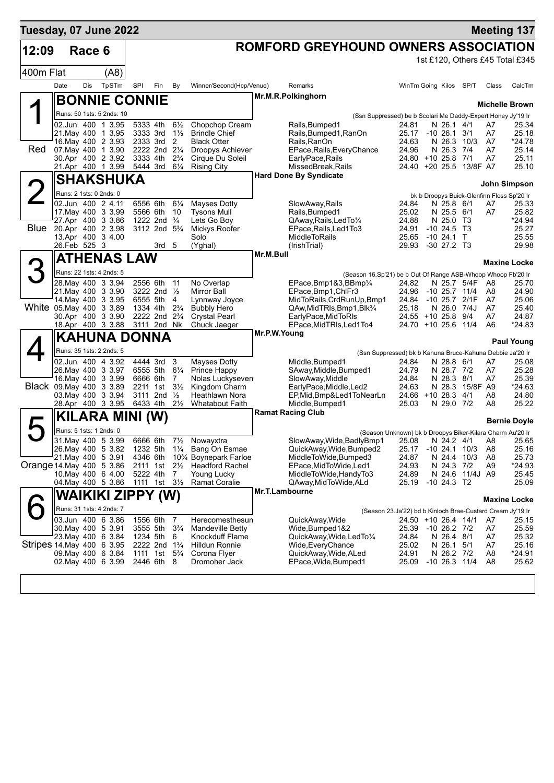| ROMFORD GREYHOUND OWNERS ASSOCIATION<br>12:09<br>Race 6<br>1st £120, Others £45 Total £345<br>400m Flat<br>(A8)<br>Date<br>Dis<br>TpSTm<br>SPI<br>Winner/Second(Hcp/Venue)<br>Fin<br>By<br>Remarks<br>WinTm Going Kilos SP/T                                                                     | Class<br>CalcTm<br><b>Michelle Brown</b> |
|--------------------------------------------------------------------------------------------------------------------------------------------------------------------------------------------------------------------------------------------------------------------------------------------------|------------------------------------------|
|                                                                                                                                                                                                                                                                                                  |                                          |
|                                                                                                                                                                                                                                                                                                  |                                          |
|                                                                                                                                                                                                                                                                                                  |                                          |
|                                                                                                                                                                                                                                                                                                  |                                          |
| Mr.M.R.Polkinghorn<br><b>BONNIE CONNIE</b>                                                                                                                                                                                                                                                       |                                          |
| Runs: 50 1sts: 5 2nds: 10<br>(Ssn Suppressed) be b Scolari Me Daddy-Expert Honey Jy'19 Ir                                                                                                                                                                                                        |                                          |
| 5333 4th<br>$6\frac{1}{2}$<br>02.Jun 400 1 3.95<br>Chopchop Cream<br>Rails, Bumped1<br>N 26.1 4/1<br>24.81<br>A7<br>21. May 400 1 3.95<br>3333 3rd<br>$1\frac{1}{2}$<br><b>Brindle Chief</b><br>Rails, Bumped1, RanOn<br>25.17 -10 26.1<br>3/1<br>A7                                             | 25.34<br>25.18                           |
| 16. May 400 2 3.93<br>2333 3rd 2<br><b>Black Otter</b><br>Rails, RanOn<br>24.63<br>N 26.3 10/3<br>A7                                                                                                                                                                                             | *24.78                                   |
| Red<br>2222 2nd 21/4<br>07. May 400 1 3.90<br>Droopys Achiever<br>EPace, Rails, Every Chance<br>24.96<br>N 26.3<br>7/4<br>A7<br>30.Apr 400 2 3.92<br>3333 4th<br>$2\frac{3}{4}$<br>Cirque Du Soleil<br>EarlyPace, Rails<br>24.80 +10 25.8 7/1<br>A7                                              | 25.14<br>25.11                           |
| 21.Apr 400 1 3.99<br>5444 3rd<br>$6\frac{1}{4}$<br><b>Rising City</b><br>MissedBreak, Rails<br>24.40 +20 25.5 13/8F A7                                                                                                                                                                           | 25.10                                    |
| <b>Hard Done By Syndicate</b><br><b>SHAKSHUKA</b>                                                                                                                                                                                                                                                |                                          |
| Runs: 2 1sts: 0 2nds: 0<br>bk b Droopys Buick-Glenfinn Floss Sp'20 Ir                                                                                                                                                                                                                            | John Simpson                             |
| 02.Jun 400 2 4.11<br>6556 6th<br>$6\frac{1}{4}$<br>Mayses Dotty<br>SlowAway, Rails<br>N 25.8 6/1<br>24.84<br>A7                                                                                                                                                                                  | 25.33                                    |
| 17 May 400 3 3.99<br>5566 6th<br>10<br><b>Tysons Mull</b><br>Rails, Bumped1<br>25.02<br>N 25.5 6/1<br>A7<br>27.Apr 400 3 3.86<br>N 25.0 T3<br>1222 2nd <sup>3</sup> / <sub>4</sub><br>Lets Go Boy<br>QAway, Rails, LedTo1/4<br>24.88                                                             | 25.82<br>$*24.94$                        |
| <b>Blue</b><br>20.Apr 400 2 3.98<br>3112 2nd 5 <sup>3</sup> / <sub>4</sub><br>$-10$ 24.5 T3<br>Mickys Roofer<br>EPace, Rails, Led 1 To 3<br>24.91                                                                                                                                                | 25.27                                    |
| 13.Apr 400 3 4.00<br>Solo<br><b>MiddleToRails</b><br>25.65<br>$-10$ 24.1 T<br>26. Feb 525 3<br>3rd <sub>5</sub><br>(Yghal)<br>(IrishTrial)<br>29.93<br>$-30$ 27.2 T3                                                                                                                             | 25.55<br>29.98                           |
| Mr.M.Bull                                                                                                                                                                                                                                                                                        |                                          |
| ATHENAS LAW                                                                                                                                                                                                                                                                                      | <b>Maxine Locke</b>                      |
| Runs: 22 1sts: 4 2nds: 5<br>(Season 16.Sp'21) be b Out Of Range ASB-Whoop Whoop Fb'20 Ir<br>2556 6th<br>28. May 400 3 3.94<br>11<br>No Overlap<br>EPace, Bmp1&3, BBmp1/4<br>24.82<br>N 25.7 5/4F<br>A8                                                                                           | 25.70                                    |
| 24.96<br>21. May 400 3 3.90<br>3222 2nd 1/2<br><b>Mirror Ball</b><br>$-10$ 25.7 $11/4$<br>EPace, Bmp1, ChIFr3<br>A8                                                                                                                                                                              | 24.90                                    |
| 14 May 400 3 3.95<br>6555 5th<br>4<br>Lynnway Joyce<br>MidToRails, CrdRunUp, Bmp1<br>24.84<br>-10 25.7<br>2/1F<br>A7                                                                                                                                                                             | 25.06                                    |
| White 05. May 400 3 3.89<br>1334 4th<br>$2\frac{3}{4}$<br><b>Bubbly Hero</b><br>QAw, Mid TRIs, Bmp1, Blk <sup>3</sup> /4<br>25.18<br>N 26.0 7/4J<br>A7<br>30.Apr 400 3 3.90<br>2222 2nd 2 <sup>3</sup> / <sub>4</sub><br>24.55 +10 25.8 9/4<br><b>Crystal Pearl</b><br>EarlyPace, MidToRIs<br>A7 | 25.40<br>24.87                           |
| 18.Apr 400 3 3.88<br>3111 2nd Nk<br>Chuck Jaeger<br>EPace, MidTRIs, Led1To4<br>24.70 +10 25.6 11/4<br>A6                                                                                                                                                                                         | $*24.83$                                 |
| Mr.P.W.Young<br><b>KAHUNA DONNA</b>                                                                                                                                                                                                                                                              | <b>Paul Young</b>                        |
| Runs: 35 1sts: 2 2nds: 5<br>(Ssn Suppressed) bk b Kahuna Bruce-Kahuna Debbie Ja'20 Ir                                                                                                                                                                                                            |                                          |
| 4444 3rd<br>3<br>02.Jun 400 4 3.92<br>Mayses Dotty<br>Middle, Bumped1<br>24.84<br>N 28.8 6/1<br>A7<br>26. May 400 3 3.97<br>6555 5th 61/4<br>Prince Happy<br>SAway, Middle, Bumped1<br>24.79<br>N 28.7 7/2<br>A7                                                                                 | 25.08<br>25.28                           |
| 16. May 400 3 3.99<br>6666 6th<br>7<br>Nolas Luckyseven<br>SlowAway, Middle<br>24.84<br>N 28.3 8/1<br>A7                                                                                                                                                                                         | 25.39                                    |
| Black 09. May 400 3 3.89<br>2211 1st 31/2<br>Kingdom Charm<br>24.63<br>N 28.3 15/8F A9<br>EarlyPace,Middle,Led2                                                                                                                                                                                  | *24.63                                   |
| 03. May 400 3 3.94<br>3111 2nd $\frac{1}{2}$<br>Heathlawn Nora<br>EP, Mid, Bmp&Led1ToNearLn<br>24.66 +10 28.3 4/1<br>A8<br>$2\frac{1}{2}$<br>6433 4th<br><b>Whatabout Faith</b><br>Middle, Bumped1<br>25.03<br>N 29.0 7/2<br>28.Apr 400 3 3.95<br>A8                                             | 24.80<br>25.22                           |
| <b>Ramat Racing Club</b><br>KILARA MINI (W)                                                                                                                                                                                                                                                      |                                          |
| Runs: 5 1sts: 1 2nds: 0<br>(Season Unknown) bk b Droopys Biker-Kilara Charm Au'20 Ir                                                                                                                                                                                                             | <b>Bernie Doyle</b>                      |
| 31. May 400 5 3.99<br>6666 6th<br>71/ <sub>2</sub> Nowayxtra<br>SlowAway, Wide, BadlyBmp1 25.08 N 24.2 4/1 A8                                                                                                                                                                                    | 25.65                                    |
| 26. May 400 5 3.82<br>1232 5th<br>QuickAway, Wide, Bumped2<br>$1\frac{1}{4}$<br>Bang On Esmae<br>25.17<br>$-10$ 24.1 $10/3$<br>A8<br>21. May 400 5 3.91<br>4346 6th                                                                                                                              | 25.16                                    |
| 10% Boynepark Farloe<br>MiddleToWide,Bumped3<br>24.87<br>N 24.4 10/3<br>A8<br>Orange 14 May 400 5 3.86<br>2111 1st 21/ <sub>2</sub><br><b>Headford Rachel</b><br>EPace, MidToWide, Led1<br>24.93<br>N 24.3 7/2<br>A9                                                                             | 25.73<br>*24.93                          |
| 10. May 400 6 4.00<br>5222 4th<br><b>Young Lucky</b><br>MiddleToWide, HandyTo3<br>24.89<br>N 24.6 11/4J A9<br>7                                                                                                                                                                                  | 25.45                                    |
| 04. May 400 5 3.86<br>1111 1st 31/ <sub>2</sub><br>Ramat Coralie<br>25.19<br>$-1024.3$ T2<br>QAway, MidToWide, ALd<br>Mr.T.Lambourne                                                                                                                                                             | 25.09                                    |
| WAIKIKI ZIPPY (W)                                                                                                                                                                                                                                                                                | <b>Maxine Locke</b>                      |
| Runs: 31 1sts: 4 2nds: 7<br>(Season 23.Ja'22) bd b Kinloch Brae-Custard Cream Jy'19 Ir                                                                                                                                                                                                           |                                          |
| 03.Jun 400 6 3.86<br>1556 6th<br>QuickAway, Wide<br>7<br>Herecomesthesun<br>24.50 +10 26.4 14/1<br>A7<br>30. May 400 5 3.91<br>3555 5th<br>$3\frac{3}{4}$<br><b>Mandeville Betty</b><br>Wide, Bumped 1&2<br>25.39 -10 26.2 7/2<br>A7                                                             | 25.15<br>25.59                           |
| 23. May 400 6 3.84<br>1234 5th<br>Knockduff Flame<br>QuickAway,Wide,LedTo1/4<br>24.84<br>N 26.4 8/1<br>A7<br>6                                                                                                                                                                                   | 25.32                                    |
| Stripes 14 May 400 6 3.95<br>2222 2nd 1 <sup>3</sup> / <sub>4</sub><br>Hilldun Ronnie<br>25.02<br>N 26.1<br>Wide,EveryChance<br>5/1<br>A7<br>09. May 400 6 3.84<br>$5\frac{3}{4}$<br>Corona Flyer<br>24.91<br>1111 1st<br>QuickAway,Wide,ALed<br>N 26.2 7/2<br>A8                                | 25.16<br>*24.91                          |
| 02. May 400 6 3.99<br>2446 6th 8<br>EPace, Wide, Bumped1<br>25.09<br>$-10$ 26.3 $11/4$<br>A <sub>8</sub><br>Dromoher Jack                                                                                                                                                                        | 25.62                                    |
|                                                                                                                                                                                                                                                                                                  |                                          |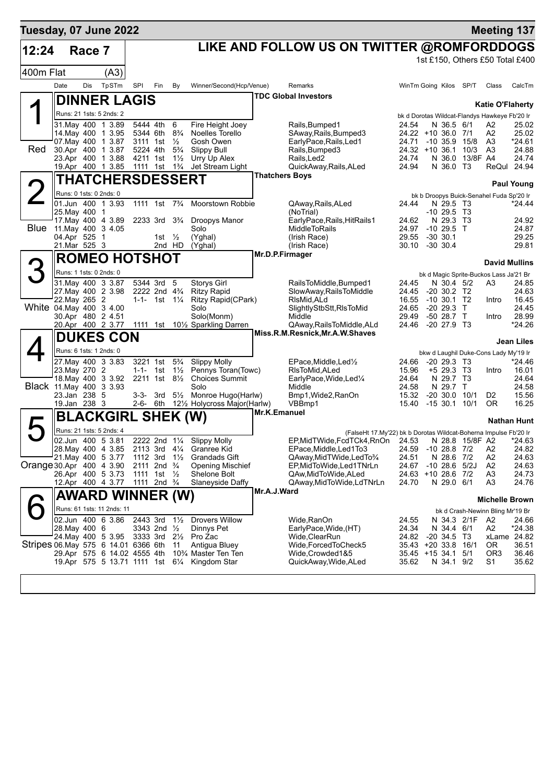| Tuesday, 07 June 2022               |                              |        |                                          |                                      |                                                                   |                                  |                                                   |                       |                                                                  |                |                                                      |                 | <b>Meeting 137</b>               |                      |
|-------------------------------------|------------------------------|--------|------------------------------------------|--------------------------------------|-------------------------------------------------------------------|----------------------------------|---------------------------------------------------|-----------------------|------------------------------------------------------------------|----------------|------------------------------------------------------|-----------------|----------------------------------|----------------------|
| 12:24                               |                              | Race 7 |                                          |                                      |                                                                   |                                  |                                                   |                       | LIKE AND FOLLOW US ON TWITTER @ROMFORDDOGS                       |                |                                                      |                 |                                  |                      |
|                                     |                              |        |                                          |                                      |                                                                   |                                  |                                                   |                       |                                                                  |                | 1st £150, Others £50 Total £400                      |                 |                                  |                      |
| 400m Flat                           |                              |        | (A3)                                     |                                      |                                                                   |                                  |                                                   |                       |                                                                  |                |                                                      |                 |                                  |                      |
|                                     | Date                         | Dis    | TpSTm                                    | SPI                                  | Fin                                                               | By                               | Winner/Second(Hcp/Venue)                          |                       | Remarks                                                          |                | WinTm Going Kilos SP/T                               |                 | Class                            | CalcTm               |
|                                     |                              |        | <b>DINNER LAGIS</b>                      |                                      |                                                                   |                                  |                                                   |                       | <b>TDC Global Investors</b>                                      |                |                                                      |                 | <b>Katie O'Flaherty</b>          |                      |
|                                     |                              |        | Runs: 21 1sts: 5 2nds: 2                 |                                      |                                                                   |                                  |                                                   |                       |                                                                  |                | bk d Dorotas Wildcat-Flandys Hawkeye Fb'20 Ir        |                 |                                  |                      |
|                                     |                              |        | 31. May 400 1 3.89                       |                                      | 5444 4th                                                          | -6                               | Fire Height Joey                                  |                       | Rails, Bumped1                                                   | 24.54          | N 36.5 6/1                                           |                 | A2                               | 25.02                |
|                                     |                              |        | 14 May 400 1 3.95<br>07. May 400 1 3.87  | 5344 6th<br>3111 1st                 |                                                                   | $8\frac{3}{4}$<br>$\frac{1}{2}$  | Noelles Torello<br>Gosh Owen                      |                       | SAway, Rails, Bumped3<br>EarlyPace, Rails, Led1                  | 24.71          | 24.22 +10 36.0 7/1<br>-10 35.9 15/8                  |                 | A2<br>A3                         | 25.02<br>*24.61      |
| Red                                 |                              |        | 30.Apr 400 1 3.87                        | 5224 4th                             |                                                                   | $5\frac{3}{4}$                   | <b>Slippy Bull</b>                                |                       | Rails, Bumped 3                                                  |                | 24.32 +10 36.1 10/3                                  |                 | A <sub>3</sub>                   | 24.88                |
|                                     |                              |        | 23.Apr 400 1 3.88<br>19.Apr 400 1 3.85   | 4211 1st<br>1111 1st                 |                                                                   | $1\frac{1}{2}$<br>$1\frac{3}{4}$ | Urry Up Alex<br>Jet Stream Light                  |                       | Rails, Led2<br>QuickAway, Rails, ALed                            | 24.74<br>24.94 | N 36.0 T3                                            | N 36.0 13/8F A4 |                                  | 24.74<br>ReQul 24.94 |
|                                     |                              |        | THATCHERSDESSERT                         |                                      |                                                                   |                                  |                                                   | <b>Thatchers Boys</b> |                                                                  |                |                                                      |                 |                                  |                      |
|                                     | Runs: 0 1sts: 0 2nds: 0      |        |                                          |                                      |                                                                   |                                  |                                                   |                       |                                                                  |                | bk b Droopys Buick-Senahel Fuda Sp'20 Ir             |                 |                                  | <b>Paul Young</b>    |
|                                     |                              |        | 01.Jun 400 1 3.93                        |                                      | 1111 1st 7 <sup>3</sup> / <sub>4</sub>                            |                                  | Moorstown Robbie                                  |                       | QAway, Rails, ALed                                               | 24.44          | N 29.5 T3                                            |                 |                                  | *24.44               |
|                                     | 25. May 400 1                |        | 17. May 400 4 3.89                       |                                      | 2233 3rd 3 <sup>3</sup> / <sub>4</sub>                            |                                  | Droopys Manor                                     |                       | (NoTrial)<br>EarlyPace, Rails, HitRails1                         | 24.62          | $-10, 29.5, 13$<br>N 29.3 T3                         |                 |                                  | 24.92                |
| <b>Blue</b>                         |                              |        | 11. May 400 3 4.05                       |                                      |                                                                   |                                  | Solo                                              |                       | MiddleToRails                                                    |                | 24.97 -10 29.5 T                                     |                 |                                  | 24.87                |
|                                     | 04.Apr 525 1<br>21.Mar 525 3 |        |                                          |                                      | 1st $\frac{1}{2}$<br>2nd HD                                       |                                  | (Yghal)<br>(Yghal)                                |                       | (Irish Race)<br>(Irish Race)                                     | 29.55<br>30.10 | -30 30.1<br>$-30,30.4$                               |                 |                                  | 29.25<br>29.81       |
|                                     |                              |        | <b>ROMEO HOTSHOT</b>                     |                                      |                                                                   |                                  |                                                   | Mr.D.P.Firmager       |                                                                  |                |                                                      |                 |                                  |                      |
| 3                                   |                              |        |                                          |                                      |                                                                   |                                  |                                                   |                       |                                                                  |                |                                                      |                 | <b>David Mullins</b>             |                      |
|                                     | Runs: 1 1sts: 0 2nds: 0      |        | 31.May 400 3 3.87                        |                                      | 5344 3rd 5                                                        |                                  | <b>Storys Girl</b>                                |                       | RailsToMiddle, Bumped1                                           | 24.45          | bk d Magic Sprite-Buckos Lass Ja'21 Br<br>N 30.4 5/2 |                 | A3                               | 24.85                |
|                                     |                              |        | 27. May 400 2 3.98                       |                                      | 2222 2nd 4 <sup>3</sup> / <sub>4</sub>                            |                                  | <b>Ritzy Rapid</b>                                |                       | SlowAway, RailsToMiddle                                          | 24.45          | $-20$ 30.2 T <sub>2</sub>                            |                 |                                  | 24.63                |
| White 04 May 400 3 4.00             | 22. May 265 2                |        |                                          |                                      | 1-1- 1st $1\frac{1}{4}$                                           |                                  | <b>Ritzy Rapid(CPark)</b><br>Solo                 |                       | RIsMid, ALd<br>SlightlyStbStt,RIsToMid                           |                | 16.55 -10 30.1 T2<br>24.65 -20 29.3 T                |                 | Intro                            | 16.45<br>24.45       |
|                                     |                              |        | 30.Apr 480 2 4.51                        |                                      |                                                                   |                                  | Solo(Monm)                                        |                       | Middle                                                           | 29.49          | -50 28.7 T                                           |                 | Intro                            | 28.99                |
|                                     |                              |        |                                          |                                      |                                                                   |                                  | 20.Apr 400 2 3.77 1111 1st 101/2 Sparkling Darren |                       | QAway,RailsToMiddle,ALd<br>Miss.R.M.Resnick, Mr.A.W.Shaves       |                | 24.46 -20 27.9 T3                                    |                 |                                  | *24.26               |
|                                     |                              |        | <b>DUKES CON</b>                         |                                      |                                                                   |                                  |                                                   |                       |                                                                  |                |                                                      |                 |                                  | <b>Jean Liles</b>    |
|                                     |                              |        | Runs: 6 1sts: 1 2nds: 0                  |                                      |                                                                   |                                  |                                                   |                       |                                                                  |                | bkw d Laughil Duke-Cons Lady My'19 Ir                |                 |                                  |                      |
|                                     | 23. May 270 2                |        | 27. May 400 3 3.83                       |                                      | 3221 1st 5 <sup>3</sup> / <sub>4</sub><br>1-1- 1st $1\frac{1}{2}$ |                                  | <b>Slippy Molly</b><br>Pennys Toran(Towc)         |                       | $EPace, Middle, Led\frac{1}{2}$<br>RIsToMid, ALed                | 24.66<br>15.96 | $-2029.3$ T3<br>$+5$ 29.3 T3                         |                 | Intro                            | *24.46<br>16.01      |
|                                     |                              |        | 18. May 400 3 3.92                       |                                      |                                                                   |                                  | 2211 1st 81/2 Choices Summit                      |                       | EarlyPace, Wide, Led <sup>1/4</sup>                              | 24.64          | N 29.7 T3                                            |                 |                                  | 24.64                |
| Black 11 May 400 3 3.93             | 23.Jan 238 5                 |        |                                          | 3-3-                                 |                                                                   |                                  | Solo<br>3rd 51/ <sub>2</sub> Monroe Hugo(Harlw)   |                       | Middle<br>Bmp1, Wide2, RanOn                                     | 24.58<br>15.32 | N 29.7 T<br>$-20, 30.0, 10/1$                        |                 | D <sub>2</sub>                   | 24.58<br>15.56       |
|                                     | 19.Jan 238 3                 |        |                                          |                                      |                                                                   |                                  | 2-6- 6th 121/2 Holycross Major(Harlw)             |                       | VBB <sub>mp1</sub>                                               |                | 15.40 -15 30.1 10/1                                  |                 | 0R                               | 16.25                |
|                                     |                              |        | <b>BLACKGIRL SHEK (W)</b>                |                                      |                                                                   |                                  |                                                   | Mr.K.Emanuel          |                                                                  |                |                                                      |                 |                                  | <b>Nathan Hunt</b>   |
|                                     |                              |        | Runs: 21 1sts: 5 2nds: 4                 |                                      |                                                                   |                                  |                                                   |                       | (FalseHt 17.My'22) bk b Dorotas Wildcat-Boherna Impulse Fb'20 Ir |                |                                                      |                 |                                  |                      |
|                                     |                              |        | 02.Jun 400 5 3.81                        |                                      |                                                                   |                                  | 2222 2nd 11/4 Slippy Molly                        |                       | EP, MidTWide, FcdTCk4, RnOn 24.53 N 28.8 15/8F A2                |                |                                                      |                 |                                  | *24.63               |
|                                     |                              |        | 28. May 400 4 3.85<br>21. May 400 5 3.77 | 2113 3rd 41/4<br>1112 3rd            |                                                                   | $1\frac{1}{2}$                   | Granree Kid<br><b>Grandads Gift</b>               |                       | EPace, Middle, Led1To3<br>QAway, MidTWide, LedTo3/4              | 24.59<br>24.51 | $-1028.87/2$<br>N 28.6 7/2                           |                 | A2<br>A <sub>2</sub>             | 24.82<br>24.63       |
| Orange 30.Apr 400 4 3.90            |                              |        |                                          | 2111 2nd <sup>3</sup> / <sub>4</sub> |                                                                   |                                  | <b>Opening Mischief</b>                           |                       | EP, MidToWide, Led 1 TNrLn                                       |                | 24.67 -10 28.6 5/2J                                  |                 | A2                               | 24.63                |
|                                     |                              |        | 26.Apr 400 5 3.73<br>12.Apr 400 4 3.77   | 1111 1st<br>1111 2nd $\frac{3}{4}$   |                                                                   | $\frac{1}{2}$                    | Shelone Bolt<br>Slaneyside Daffy                  |                       | QAw, MidTo Wide, ALed<br>QAway, MidToWide, LdTNrLn               | 24.70          | 24.63 +10 28.6 7/2<br>N 29.0 6/1                     |                 | A <sub>3</sub><br>A3             | 24.73<br>24.76       |
|                                     |                              |        | AWARD WINNER (W)                         |                                      |                                                                   |                                  |                                                   | Mr.A.J.Ward           |                                                                  |                |                                                      |                 |                                  |                      |
|                                     |                              |        | Runs: 61 1sts: 11 2nds: 11               |                                      |                                                                   |                                  |                                                   |                       |                                                                  |                |                                                      |                 | <b>Michelle Brown</b>            |                      |
|                                     |                              |        | 02.Jun 400 6 3.86                        | 2443 3rd                             |                                                                   | $1\frac{1}{2}$                   | <b>Drovers Willow</b>                             |                       | Wide, RanOn                                                      | 24.55          |                                                      | N 34.3 2/1F A2  | bk d Crash-Newinn Bling Mr'19 Br | 24.66                |
|                                     | 28. May 400 6                |        |                                          |                                      | 3343 2nd 1/2                                                      |                                  | Dinnys Pet                                        |                       | EarlyPace, Wide, (HT)                                            | 24.34          | N 34.4 6/1                                           |                 | A2                               | *24.38               |
| Stripes 06 May 575 6 14.01 6366 6th |                              |        | 24. May 400 5 3.95                       | 3333 3rd                             |                                                                   | $2\frac{1}{2}$<br>11             | Pro Zac<br>Antigua Bluey                          |                       | Wide, Clear Run<br>Wide, Forced To Check 5                       | 24.82          | $-20, 34.5, 73$<br>35.43 +20 33.8 16/1               |                 | 0R                               | xLame 24.82<br>36.51 |
|                                     |                              |        | 29.Apr 575 6 14.02 4555 4th              |                                      |                                                                   |                                  | 10 <sup>3</sup> / <sub>4</sub> Master Ten Ten     |                       | Wide,Crowded1&5                                                  |                | 35.45 +15 34.1 5/1                                   |                 | OR <sub>3</sub>                  | 36.46                |
|                                     |                              |        | 19.Apr 575 5 13.71 1111 1st 61/4         |                                      |                                                                   |                                  | Kingdom Star                                      |                       | QuickAway, Wide, ALed                                            | 35.62          | N 34.1 9/2                                           |                 | S <sub>1</sub>                   | 35.62                |
|                                     |                              |        |                                          |                                      |                                                                   |                                  |                                                   |                       |                                                                  |                |                                                      |                 |                                  |                      |
|                                     |                              |        |                                          |                                      |                                                                   |                                  |                                                   |                       |                                                                  |                |                                                      |                 |                                  |                      |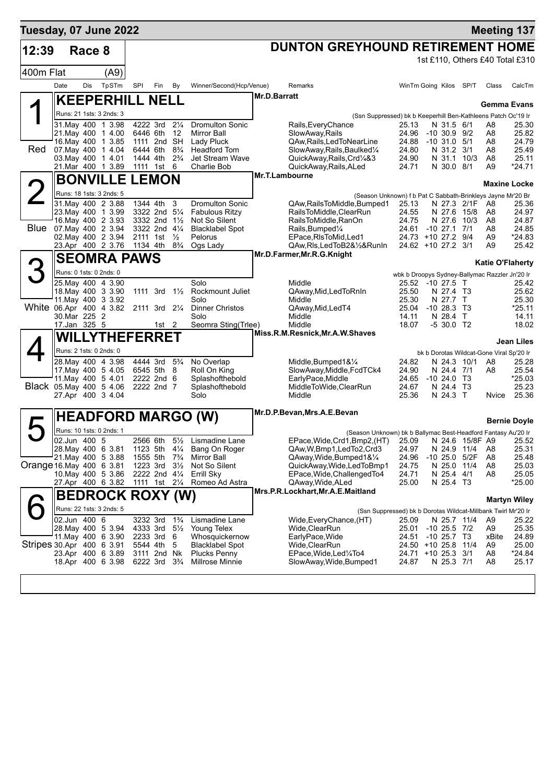| Tuesday, 07 June 2022     |                            |        |                                               |          |                                                                   |                       |                                    |              |                                                                                               |                                                                    |                                      |                            |                                          | <b>Meeting 137</b>              |
|---------------------------|----------------------------|--------|-----------------------------------------------|----------|-------------------------------------------------------------------|-----------------------|------------------------------------|--------------|-----------------------------------------------------------------------------------------------|--------------------------------------------------------------------|--------------------------------------|----------------------------|------------------------------------------|---------------------------------|
| 12:39                     |                            | Race 8 |                                               |          |                                                                   |                       |                                    |              | <b>DUNTON GREYHOUND RETIREMENT HOME</b>                                                       |                                                                    |                                      |                            |                                          |                                 |
|                           |                            |        |                                               |          |                                                                   |                       |                                    |              |                                                                                               |                                                                    |                                      |                            |                                          | 1st £110, Others £40 Total £310 |
| 400m Flat                 |                            |        | (A9)                                          |          |                                                                   |                       |                                    |              |                                                                                               |                                                                    |                                      |                            |                                          |                                 |
|                           | Date                       | Dis    | TpSTm                                         | SPI      | Fin                                                               | By                    | Winner/Second(Hcp/Venue)           |              | Remarks                                                                                       | WinTm Going Kilos SP/T                                             |                                      |                            | Class                                    | CalcTm                          |
|                           |                            |        | <b>KEEPERHILL NELL</b>                        |          |                                                                   |                       |                                    | Mr.D.Barratt |                                                                                               |                                                                    |                                      |                            | <b>Gemma Evans</b>                       |                                 |
|                           |                            |        | Runs: 21 1sts: 3 2nds: 3                      |          |                                                                   |                       |                                    |              | (Ssn Suppressed) bk b Keeperhill Ben-Kathleens Patch Oc'19 Ir                                 |                                                                    |                                      |                            |                                          |                                 |
|                           |                            |        | 31. May 400 1 3.98                            |          | 4222 3rd                                                          | $2\frac{1}{4}$        | <b>Dromulton Sonic</b>             |              | Rails, Every Chance                                                                           | 25.13                                                              | N 31.5 6/1                           |                            | A8                                       | 25.30                           |
|                           |                            |        | 21. May 400 1 4.00<br>16. May 400 1 3.85      |          | 6446 6th 12<br>1111 2nd SH                                        |                       | Mirror Ball<br>Lady Pluck          |              | SlowAway, Rails<br>QAw,Rails,LedToNearLine                                                    | 24.96<br>24.88                                                     | $-10, 30.9, 9/2$<br>$-10$ 31.0 $5/1$ |                            | A8<br>A8                                 | 25.82<br>24.79                  |
| <b>Red</b>                |                            |        | 07. May 400 1 4.04                            | 6444 6th |                                                                   | $8\frac{3}{4}$        | <b>Headford Tom</b>                |              | SlowAway, Rails, Baulked1/4                                                                   | 24.80                                                              | N 31.2 3/1                           |                            | A8                                       | 25.49                           |
|                           |                            |        | 03. May 400 1 4.01                            | 1444 4th |                                                                   | $2\frac{3}{4}$        | Jet Stream Wave                    |              | QuickAway,Rails,Crd1/4&3                                                                      | 24.90                                                              |                                      | N 31.1 10/3                | A8                                       | 25.11                           |
|                           |                            |        | 21.Mar 400 1 3.89                             |          | 1111 1st 6                                                        |                       | Charlie Bob                        |              | QuickAway, Rails, ALed<br>Mr.T.Lambourne                                                      | 24.71                                                              | N 30.0 8/1                           |                            | A9                                       | $*24.71$                        |
|                           |                            |        | <b>BONVILLE LEMON</b>                         |          |                                                                   |                       |                                    |              |                                                                                               |                                                                    |                                      |                            |                                          | <b>Maxine Locke</b>             |
|                           |                            |        | Runs: 18 1sts: 3 2nds: 5<br>31 May 400 2 3.88 |          | 1344 4th                                                          | 3                     | <b>Dromulton Sonic</b>             |              | (Season Unknown) f b Pat C Sabbath-Brinkleys Jayne Mr'20 Br<br>QAw, Rails To Middle, Bumped 1 |                                                                    |                                      |                            |                                          |                                 |
|                           |                            |        | 23. May 400 1 3.99                            |          | 3322 2nd 51/4                                                     |                       | <b>Fabulous Ritzy</b>              |              | RailsToMiddle,ClearRun                                                                        | 25.13<br>24.55                                                     |                                      | N 27.3 2/1F<br>N 27.6 15/8 | A8<br>A8                                 | 25.36<br>24.97                  |
|                           |                            |        | 16. May 400 2 3.93                            |          | 3332 2nd 11/2                                                     |                       | Not So Silent                      |              | RailsToMiddle, RanOn                                                                          | 24.75                                                              |                                      | N 27.6 10/3                | A8                                       | 24.87                           |
| <b>Blue</b>               |                            |        | 07. May 400 2 3.94                            |          | 3322 2nd 41/4                                                     |                       | <b>Blacklabel Spot</b>             |              | Rails, Bumped <sup>1/4</sup>                                                                  | 24.61 -10 27.1 7/1                                                 |                                      |                            | A8                                       | 24.85                           |
|                           |                            |        | 02. May 400 2 3.94<br>23.Apr 400 2 3.76       | 1134 4th | 2111 1st $\frac{1}{2}$                                            | $8\frac{3}{4}$        | Pelorus<br>Ogs Lady                |              | EPace, RIsToMid, Led1<br>QAw, Ris, Led To B2&1/2& Run In                                      | 24.73 +10 27.2 9/4<br>24.62 +10 27.2 3/1                           |                                      |                            | A9<br>A9                                 | *24.83<br>25.42                 |
|                           |                            |        | <b>SEOMRA PAWS</b>                            |          |                                                                   |                       |                                    |              | Mr.D.Farmer, Mr.R.G.Knight                                                                    |                                                                    |                                      |                            |                                          |                                 |
|                           | Runs: 0 1sts: 0 2nds: 0    |        |                                               |          |                                                                   |                       |                                    |              |                                                                                               |                                                                    |                                      |                            | <b>Katie O'Flaherty</b>                  |                                 |
|                           |                            |        | 25. May 400 4 3.90                            |          |                                                                   |                       | Solo                               |              | Middle                                                                                        | wbk b Droopys Sydney-Ballymac Razzler Jn'20 Ir<br>25.52 -10 27.5 T |                                      |                            |                                          | 25.42                           |
|                           |                            |        | 18. May 400 3 3.90                            |          | 1111 3rd $1\frac{1}{2}$                                           |                       | Rockmount Juliet                   |              | QAway, Mid, Led To RnIn                                                                       | 25.50                                                              | N 27.4 T3                            |                            |                                          | 25.62                           |
|                           |                            |        | 11 May 400 3 3 92                             |          |                                                                   |                       | Solo                               |              | Middle                                                                                        | 25.30                                                              | N 27.7 T                             |                            |                                          | 25.30                           |
| White 06.Apr 400 4 3.82   | 30.Mar 225 2               |        |                                               |          | 2111 3rd 21/4                                                     |                       | <b>Dinner Christos</b><br>Solo     |              | QAway, Mid, Led T4<br>Middle                                                                  | 25.04<br>14.11                                                     | $-1028.3$ T3<br>N 28.4 T             |                            |                                          | *25.11<br>14.11                 |
|                           | 17.Jan 325 5               |        |                                               |          | 1st 2                                                             |                       | Seomra Sting(Trlee)                |              | Middle                                                                                        | 18.07                                                              | -5 30.0 T2                           |                            |                                          | 18.02                           |
|                           |                            |        | <b>WILLYTHEFERRET</b>                         |          |                                                                   |                       |                                    |              | Miss.R.M.Resnick, Mr.A.W.Shaves                                                               |                                                                    |                                      |                            |                                          | Jean Liles                      |
|                           | Runs: 2 1sts: 0 2nds: 0    |        |                                               |          |                                                                   |                       |                                    |              |                                                                                               |                                                                    |                                      |                            | bk b Dorotas Wildcat-Gone Viral Sp'20 Ir |                                 |
|                           |                            |        | 28.May 400 4 3.98                             |          | 4444 3rd                                                          | $5\frac{3}{4}$        | No Overlap                         |              | Middle, Bumped 1& 1/4                                                                         | 24.82                                                              |                                      | N 24.3 10/1                | A8                                       | 25.28                           |
|                           |                            |        | 17. May 400 5 4.05                            |          | 6545 5th                                                          | 8                     | Roll On King                       |              | SlowAway, Middle, FcdTCk4                                                                     | 24.90                                                              | N 24.4 7/1                           |                            | A8                                       | 25.54                           |
| Black 05. May 400 5 4.06  |                            |        | 11. May 400 5 4.01                            |          | 2222 2nd 6<br>2222 2nd 7                                          |                       | Splashofthebold<br>Splashofthebold |              | EarlyPace, Middle<br>MiddleToWide,ClearRun                                                    | 24.65<br>24.67                                                     | $-1024.0$ T3<br>N 24.4 T3            |                            |                                          | $*25.03$<br>25.23               |
|                           |                            |        | 27.Apr 400 3 4.04                             |          |                                                                   |                       | Solo                               |              | Middle                                                                                        | 25.36                                                              | N 24.3 T                             |                            | Nvice                                    | 25.36                           |
|                           |                            |        |                                               |          |                                                                   |                       |                                    |              |                                                                                               |                                                                    |                                      |                            |                                          |                                 |
|                           |                            |        |                                               |          |                                                                   |                       | <b>HEADFORD MARGO (W)</b>          |              | Mr.D.P.Bevan, Mrs.A.E.Bevan                                                                   |                                                                    |                                      |                            |                                          | <b>Bernie Dovle</b>             |
|                           |                            |        | Runs: 10 1sts: 0 2nds: 1                      |          |                                                                   |                       |                                    |              | (Season Unknown) bk b Ballymac Best-Headford Fantasy Au'20 Ir                                 |                                                                    |                                      |                            |                                          |                                 |
|                           | $\overline{02.}$ Jun 400 5 |        |                                               |          |                                                                   |                       | 2566 6th 51/2 Lismadine Lane       |              | EPace, Wide, Crd1, Bmp2, (HT) 25.09 N 24.6 15/8F A9 25.52                                     |                                                                    |                                      |                            |                                          |                                 |
|                           |                            |        | 28. May 400 6 3.81<br>21. May 400 5 3.88      |          | 1123 5th $4\frac{1}{4}$<br>1555 5th 7 <sup>3</sup> / <sub>4</sub> |                       | Bang On Roger<br>Mirror Ball       |              | QAw,W,Bmp1,LedTo2,Crd3<br>QAway, Wide, Bumped 1& 1/4                                          | 24.97<br>24.96                                                     | N 24.9 11/4                          | $-10$ 25.0 5/2F            | A8<br>A8                                 | 25.31<br>25.48                  |
| Orange 16. May 400 6 3.81 |                            |        |                                               |          | 1223 3rd $3\frac{1}{2}$                                           |                       | Not So Silent                      |              | QuickAway,Wide,LedToBmp1                                                                      | 24.75                                                              | N 25.0 11/4                          |                            | A8                                       | 25.03                           |
|                           |                            |        | 10. May 400 5 3.86                            |          | 2222 2nd $4\frac{1}{4}$                                           |                       | Errill Sky                         |              | EPace, Wide, Challenged To4                                                                   | 24.71                                                              | N 25.4 4/1                           |                            | A8                                       | 25.05                           |
|                           |                            |        | 27.Apr 400 6 3.82                             |          | 1111 1st 21/ <sub>4</sub>                                         |                       | Romeo Ad Astra                     |              | QAway, Wide, ALed<br>Mrs.P.R.Lockhart, Mr.A.E.Maitland                                        | 25.00                                                              | N 25.4 T3                            |                            |                                          | *25.00                          |
|                           |                            |        | <b>BEDROCK ROXY (W)</b>                       |          |                                                                   |                       |                                    |              |                                                                                               |                                                                    |                                      |                            |                                          | <b>Martyn Wiley</b>             |
|                           |                            |        | Runs: 22 1sts: 3 2nds: 5                      |          |                                                                   |                       |                                    |              | (Ssn Suppressed) bk b Dorotas Wildcat-Millbank Twirl Mr'20 Ir                                 |                                                                    |                                      |                            |                                          |                                 |
|                           | 02.Jun 400 6               |        |                                               |          | 3232 3rd                                                          | $1\frac{3}{4}$        | Lismadine Lane                     |              | Wide, Every Chance, (HT)                                                                      | 25.09                                                              | N 25.7 11/4                          |                            | A9                                       | 25.22                           |
|                           |                            |        | 28.May 400 5 3.94<br>11. May 400 6 3.90       |          | 4333 3rd<br>2233 3rd                                              | $5\frac{1}{2}$<br>- 6 | Young Telex<br>Whosquickernow      |              | Wide, Clear Run<br>EarlyPace, Wide                                                            | 25.01<br>24.51                                                     | $-10$ 25.5 $7/2$<br>$-10$ 25.7 T3    |                            | A9<br>xBite                              | 25.35<br>24.89                  |
| Stripes 30.Apr 400 6 3.91 |                            |        |                                               |          | 5544 4th                                                          | 5                     | <b>Blacklabel Spot</b>             |              | Wide, Clear Run                                                                               | 24.50 +10 25.8 11/4                                                |                                      |                            | A9                                       | 25.00                           |
|                           |                            |        | 23.Apr 400 6 3.89                             |          | 3111 2nd Nk                                                       |                       | <b>Plucks Penny</b>                |              | EPace, Wide, Led <sup>1</sup> / <sub>4</sub> To4                                              | 24.71 +10 25.3 3/1                                                 |                                      |                            | A8                                       | $*24.84$                        |
|                           |                            |        | 18.Apr 400 6 3.98                             |          | 6222 3rd 3 <sup>3</sup> / <sub>4</sub>                            |                       | Millrose Minnie                    |              | SlowAway, Wide, Bumped1                                                                       | 24.87                                                              | N 25.3 7/1                           |                            | A8                                       | 25.17                           |
|                           |                            |        |                                               |          |                                                                   |                       |                                    |              |                                                                                               |                                                                    |                                      |                            |                                          |                                 |
|                           |                            |        |                                               |          |                                                                   |                       |                                    |              |                                                                                               |                                                                    |                                      |                            |                                          |                                 |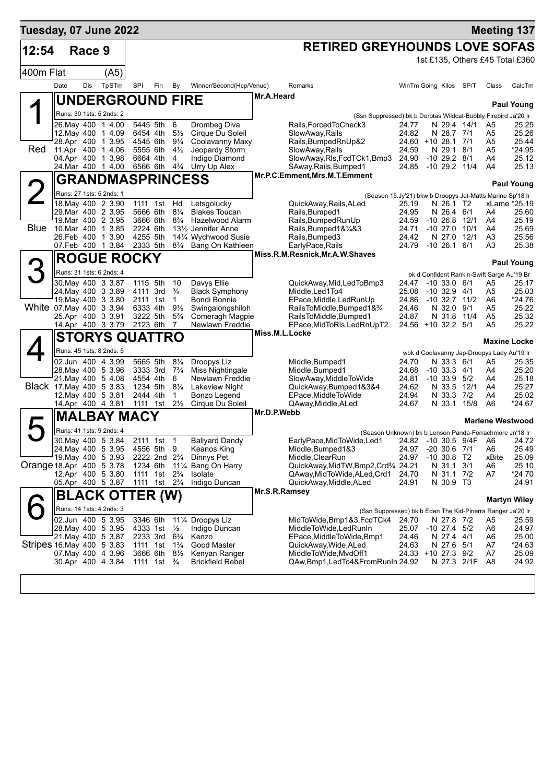| Tuesday, 07 June 2022     |      |            |                                          |                      |                                                    |                                  |                                                |                |                                                                |                                 |                                       |             |                                            | <b>Meeting 137</b>              |
|---------------------------|------|------------|------------------------------------------|----------------------|----------------------------------------------------|----------------------------------|------------------------------------------------|----------------|----------------------------------------------------------------|---------------------------------|---------------------------------------|-------------|--------------------------------------------|---------------------------------|
| 12:54                     |      | Race 9     |                                          |                      |                                                    |                                  |                                                |                | <b>RETIRED GREYHOUNDS LOVE SOFAS</b>                           |                                 |                                       |             |                                            |                                 |
|                           |      |            |                                          |                      |                                                    |                                  |                                                |                |                                                                |                                 |                                       |             |                                            | 1st £135, Others £45 Total £360 |
| 400m Flat                 |      |            | (A5)                                     |                      |                                                    |                                  |                                                |                |                                                                |                                 |                                       |             |                                            |                                 |
|                           | Date | <b>Dis</b> | TpSTm                                    | <b>SPI</b>           | Fin                                                | By                               | Winner/Second(Hcp/Venue)                       |                | Remarks                                                        | WinTm Going Kilos SP/T          |                                       |             | Class                                      | CalcTm                          |
|                           |      |            | <b>UNDERGROUND FIRE</b>                  |                      |                                                    |                                  |                                                | Mr.A.Heard     |                                                                |                                 |                                       |             |                                            | <b>Paul Young</b>               |
|                           |      |            | Runs: 30 1sts: 5 2nds: 2                 |                      |                                                    |                                  |                                                |                | (Ssn Suppressed) bk b Dorotas Wildcat-Bubbly Firebird Ja'20 Ir |                                 |                                       |             |                                            |                                 |
|                           |      |            | 26. May 400 1 4.00                       | 5445 5th             |                                                    | 6                                | Drombeg Diva                                   |                | Rails, Forced To Check3                                        | 24.77                           | N 29.4 14/1                           |             | A5                                         | 25.25                           |
|                           |      |            | 12.May 400 1 4.09<br>28.Apr 400 1 3.95   | 6454 4th<br>4545 6th |                                                    | $5\frac{1}{2}$<br>$9\frac{1}{4}$ | Cirque Du Soleil<br>Coolavanny Maxy            |                | SlowAway, Rails<br>Rails, BumpedRnUp&2                         | 24.82<br>24.60 +10 28.1 7/1     | N 28.7 7/1                            |             | A5<br>A5                                   | 25.26<br>25.44                  |
| Red                       |      |            | 11.Apr 400 1 4.06                        | 5555 6th             |                                                    | $4\frac{1}{2}$                   | Jeopardy Storm                                 |                | SlowAway, Rails                                                | 24.59                           | N 29.1 8/1                            |             | A5                                         | *24.95                          |
|                           |      |            | 04.Apr 400 1 3.98                        | 6664 4th             |                                                    | 4                                | Indigo Diamond                                 |                | SlowAway, RIs, FcdTCk1, Bmp3                                   | 24.90                           | $-10$ 29.2 $8/1$                      |             | A4                                         | 25.12                           |
|                           |      |            | 24. Mar 400 1 4.00                       |                      | 6566 6th                                           | $4\frac{3}{4}$                   | Urry Up Alex                                   |                | SAway, Rails, Bumped1<br>Mr.P.C.Emment, Mrs.M.T.Emment         | 24.85                           | $-10$ 29.2 $11/4$                     |             | A4                                         | 25.13                           |
|                           |      |            | <b>GRANDMASPRINCESS</b>                  |                      |                                                    |                                  |                                                |                |                                                                |                                 |                                       |             |                                            | <b>Paul Young</b>               |
| $\angle$                  |      |            | Runs: 27 1sts: 5 2nds: 1                 |                      |                                                    |                                  |                                                |                | (Season 15.Jy'21) bkw b Droopys Jet-Matts Marine Sp'18 Ir      |                                 |                                       |             |                                            |                                 |
|                           |      |            | 18. May 400 2 3.90                       |                      | 1111 1st                                           | Hd                               | Letsgolucky                                    |                | QuickAway, Rails, ALed                                         | 25.19                           | N 26.1 T2<br>N 26.4 6/1               |             |                                            | xLame *25.19                    |
|                           |      |            | 29.Mar 400 2 3.95<br>19. Mar 400 2 3.95  | 3666 6th             | 5666 6th                                           | $8\frac{1}{4}$<br>$8\frac{3}{4}$ | <b>Blakes Toucan</b><br><b>Hazelwood Alarm</b> |                | Rails, Bumped1<br>Rails, Bumped Run Up                         | 24.95<br>24.59                  | $-10$ 26.8 $12/1$                     |             | A4<br>A4                                   | 25.60<br>25.19                  |
| Blue                      |      |            | 10.Mar 400 1 3.85                        | 2224 6th             |                                                    |                                  | 13½ Jennifer Anne                              |                | Rails, Bumped 1& 1/4& 3                                        | 24.71                           | $-1027.0$                             | 10/1        | A4                                         | 25.69                           |
|                           |      |            | 26.Feb 400 1 3.90                        | 4255 5th             |                                                    |                                  | 141/4 Wychwood Susie                           |                | Rails, Bumped 3                                                | 24.42                           | N 27.0 12/1                           |             | A3                                         | 25.56                           |
|                           |      |            | 07.Feb 400 1 3.84                        | 2333 5th             |                                                    | $8\frac{3}{4}$                   | Bang On Kathleen                               |                | EarlyPace, Rails<br>Miss.R.M.Resnick, Mr.A.W.Shaves            | 24.79                           | $-10, 26.1$                           | 6/1         | A3                                         | 25.38                           |
|                           |      |            | <b>ROGUE ROCKY</b>                       |                      |                                                    |                                  |                                                |                |                                                                |                                 |                                       |             |                                            | <b>Paul Young</b>               |
| 3                         |      |            | Runs: 31 1sts: 6 2nds: 4                 |                      |                                                    |                                  |                                                |                |                                                                |                                 |                                       |             | bk d Confident Rankin-Swift Sarge Au'19 Br |                                 |
|                           |      |            | 30. May 400 3 3.87                       | 1115 5th             |                                                    | 10                               | Davys Ellie                                    |                | QuickAway, Mid, Led To Bmp3                                    | 24.47                           | $-10, 33.0, 6/1$                      |             | A5                                         | 25.17                           |
|                           |      |            | 24. May 400 3 3.89<br>19 May 400 3 3.80  | 2111 1st             | 4111 3rd                                           | $\frac{3}{4}$<br>$\mathbf{1}$    | <b>Black Symphony</b><br>Bondi Bonnie          |                | Middle, Led1To4<br>EPace, Middle, Led RunUp                    | 25.08<br>24.86                  | $-10$ 32.9 $4/1$<br>$-10$ 32.7 $11/2$ |             | A5<br>A6                                   | 25.03<br>*24.76                 |
| White 07 May 400 3 3.94   |      |            |                                          | 6333 4th             |                                                    | $9\frac{1}{2}$                   | Swingalongshiloh                               |                | RailsToMiddle, Bumped1&3/4                                     | 24.46                           | N 32.0                                | 9/1         | A5                                         | 25.22                           |
|                           |      |            | 25.Apr 400 3 3.91                        | 3222 5th             |                                                    | $5\frac{3}{4}$                   | Comeragh Magpie                                |                | RailsToMiddle, Bumped1                                         | 24.87                           | N 31.8 11/4                           |             | A <sub>5</sub>                             | 25.32                           |
|                           |      |            | 14.Apr 400 3 3.79                        | 2123 6th             |                                                    | $\overline{7}$                   | Newlawn Freddie                                | Miss.M.L.Locke | EPace, MidToRIs, LedRnUpT2                                     | 24.56 +10 32.2 5/1              |                                       |             | A5                                         | 25.22                           |
|                           |      |            | <b>STORYS QUATTRO</b>                    |                      |                                                    |                                  |                                                |                |                                                                |                                 |                                       |             |                                            | Maxine Locke                    |
|                           |      |            | Runs: 45 1sts: 8 2nds: 5                 |                      |                                                    |                                  |                                                |                |                                                                |                                 |                                       |             | wbk d Coolavanny Jap-Droopys Lady Au'19 Ir |                                 |
|                           |      |            | 02.Jun 400 4 3.99                        | 5665 5th             |                                                    | $8\frac{1}{4}$<br>$7\frac{3}{4}$ | Droopys Liz                                    |                | Middle, Bumped1                                                | 24.70<br>24.68                  | N 33.3 6/1                            |             | A5                                         | 25.35<br>25.20                  |
|                           |      |            | 28. May 400 5 3.96<br>21. May 400 5 4.08 | 4554 4th             | 3333 3rd                                           | 6                                | Miss Nightingale<br>Newlawn Freddie            |                | Middle, Bumped1<br>SlowAway, MiddleToWide                      | 24.81                           | $-10$ 33.3 $4/1$<br>$-10$ 33.9 $5/2$  |             | A4<br>A4                                   | 25.18                           |
|                           |      |            | Black 17. May 400 5 3.83                 | 1234 5th             |                                                    | $8\frac{1}{4}$                   | <b>Lakeview Night</b>                          |                | QuickAway,Bumped1&3&4                                          | 24.62                           | N 33.5 12/1                           |             | A4                                         | 25.27                           |
|                           |      |            | 12. May 400 5 3.81                       | 2444 4th             |                                                    | 1                                | Bonzo Legend                                   |                | EPace, MiddleToWide                                            | 24.94                           | N 33.3 7/2                            |             | A4                                         | 25.02                           |
|                           |      |            | 14.Apr 400 4 3.81                        |                      | 1111 1st                                           | $2\frac{1}{2}$                   | Cirque Du Soleil                               | Mr.D.P.Webb    | QAway, Middle, ALed                                            | 24.67                           | N 33.1                                | 15/8        | A6                                         | *24.67                          |
|                           |      |            | <b>MALBAY MACY</b>                       |                      |                                                    |                                  |                                                |                |                                                                |                                 |                                       |             |                                            | <b>Marlene Westwood</b>         |
|                           |      |            | Runs: 41 1sts: 9 2nds: 4                 |                      |                                                    |                                  |                                                |                | (Season Unknown) bk b Lenson Panda-Forrachmore Jn'18 Ir        |                                 |                                       |             |                                            |                                 |
|                           |      |            | 30. May 400 5 3.84<br>24. May 400 5 3.95 |                      | 2111 1st 1<br>4556 5th 9                           |                                  | <b>Ballyard Dandy</b><br>Keanos King           |                | EarlyPace, MidToWide, Led1<br>Middle, Bumped 1&3               | 24.82 -10 30.5 9/4F A6<br>24.97 | $-20$ 30.6 $7/1$                      |             | A6                                         | 24.72<br>25.49                  |
|                           |      |            | 19. May 400 5 3.93                       |                      | 2222 2nd 2 <sup>3</sup> / <sub>4</sub>             |                                  | Dinnys Pet                                     |                | Middle, ClearRun                                               | 24.97                           | $-10,30.8$ T <sub>2</sub>             |             | xBite                                      | 25.09                           |
| Orange 18.Apr 400 5 3.78  |      |            |                                          | 1234 6th             |                                                    |                                  | 11% Bang On Harry                              |                | QuickAway,MidTW,Bmp2,Crd3/4 24.21                              |                                 | N 31.1 3/1                            |             | A6                                         | 25.10                           |
|                           |      |            | 12.Apr 400 5 3.80                        |                      | 1111 1st 2 <sup>3</sup> / <sub>4</sub>             |                                  | Isolate                                        |                | QAway,MidToWide,ALed,Crd1                                      | 24.70                           | N 31.1 7/2                            |             | A7                                         | $*24.70$                        |
|                           |      |            | 05.Apr 400 5 3.87                        |                      | 1111 1st 2 <sup>3</sup> / <sub>4</sub>             |                                  | Indigo Duncan                                  | Mr.S.R.Ramsey  | QuickAway,Middle,ALed                                          | 24.91                           | N 30.9 T3                             |             |                                            | 24.91                           |
|                           |      |            | <b>BLACK OTTER (W)</b>                   |                      |                                                    |                                  |                                                |                |                                                                |                                 |                                       |             |                                            | <b>Martyn Wiley</b>             |
|                           |      |            | Runs: 14 1sts: 4 2nds: 3                 |                      |                                                    |                                  |                                                |                | (Ssn Suppressed) bk b Eden The Kid-Pinerra Ranger Ja'20 Ir     |                                 |                                       |             |                                            |                                 |
|                           |      |            | 02.Jun 400 5 3.95                        | 3346 6th             |                                                    |                                  | 111/4 Droopys Liz                              |                | MidToWide, Bmp1&3, FcdTCk4                                     | 24.70                           | N 27.8 7/2                            |             | A5                                         | 25.59                           |
|                           |      |            | 28. May 400 5 3.95<br>21. May 400 5 3.87 |                      | 4333 1st<br>2233 3rd 6 <sup>3</sup> / <sub>4</sub> | $\frac{1}{2}$                    | Indigo Duncan<br>Kenzo                         |                | MiddleToWide,LedRunIn<br>EPace,MiddleToWide,Bmp1               | 25.07<br>24.46                  | $-10$ 27.4 $5/2$<br>N 27.4 4/1        |             | A6<br>A6                                   | 24.97<br>25.00                  |
| Stripes 16 May 400 5 3 83 |      |            |                                          |                      | 1111 1st 1 <sup>3</sup> / <sub>4</sub>             |                                  | Good Master                                    |                | QuickAway, Wide, ALed                                          | 24.63                           | N 27.6 5/1                            |             | A7                                         | *24.63                          |
|                           |      |            | 07. May 400 4 3.96                       |                      | 3666 6th                                           | $8\frac{1}{2}$                   | Kenyan Ranger                                  |                | MiddleToWide, MvdOff1                                          | 24.33 +10 27.3 9/2              |                                       |             | A7                                         | 25.09                           |
|                           |      |            | 30.Apr 400 4 3.84                        |                      | 1111 1st $\frac{3}{4}$                             |                                  | <b>Brickfield Rebel</b>                        |                | QAw,Bmp1,LedTo4&FromRunIn 24.92                                |                                 |                                       | N 27.3 2/1F | A8                                         | 24.92                           |
|                           |      |            |                                          |                      |                                                    |                                  |                                                |                |                                                                |                                 |                                       |             |                                            |                                 |
|                           |      |            |                                          |                      |                                                    |                                  |                                                |                |                                                                |                                 |                                       |             |                                            |                                 |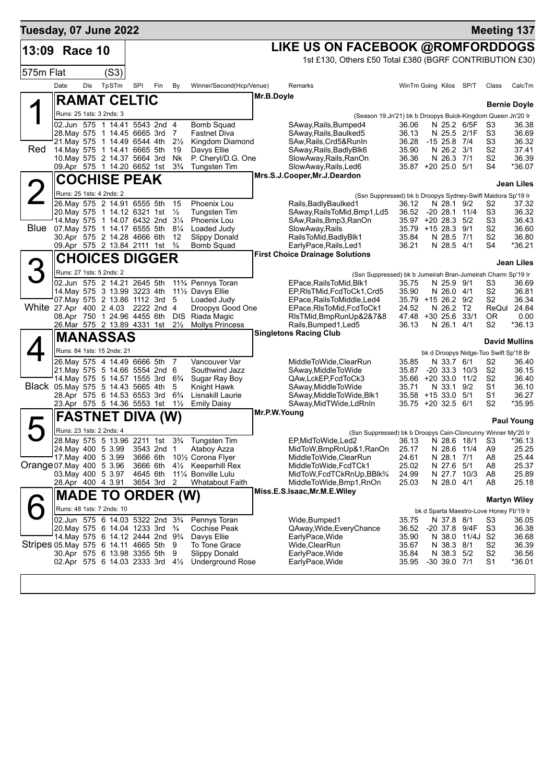| LIKE US ON FACEBOOK @ROMFORDDOGS<br>13:09 Race 10<br>1st £130, Others £50 Total £380 (BGRF CONTRIBUTION £30)                                                                                                                                                |                                  |                      |
|-------------------------------------------------------------------------------------------------------------------------------------------------------------------------------------------------------------------------------------------------------------|----------------------------------|----------------------|
|                                                                                                                                                                                                                                                             |                                  |                      |
|                                                                                                                                                                                                                                                             |                                  |                      |
| 575m Flat<br>(S3)                                                                                                                                                                                                                                           |                                  |                      |
| TpSTm<br>SPI<br>Date<br>Dis<br>By<br>Winner/Second(Hcp/Venue)<br>WinTm Going Kilos SP/T<br>Fin<br>Remarks                                                                                                                                                   | Class                            | CalcTm               |
| Mr.B.Doyle<br><b>RAMAT CELTIC</b>                                                                                                                                                                                                                           |                                  | <b>Bernie Doyle</b>  |
| Runs: 25 1sts: 3 2nds: 3<br>(Season 19.Jn'21) bk b Droopys Buick-Kingdom Queen Jn'20 Ir                                                                                                                                                                     |                                  |                      |
| 02.Jun 575 1 14.41 5543 2nd 4<br><b>Bomb Squad</b><br>36.06<br>N 25.2 6/5F<br>SAway, Rails, Bumped4                                                                                                                                                         | S3                               | 36.38                |
| N 25.5 2/1F<br>28. May 575 1 14.45 6665 3rd<br>7<br>SAway, Rails, Baulked5<br>36.13<br><b>Fastnet Diva</b><br>21. May 575 1 14.49 6544 4th<br>$2\frac{1}{2}$<br>Kingdom Diamond<br>SAw, Rails, Crd5& RunIn<br>36.28<br>$-15$ 25.8 $7/4$                     | S3<br>S3                         | 36.69<br>36.32       |
| Red<br>14. May 575 1 14.41 6665 5th<br>N 26.2 3/1<br>19<br>Davys Ellie<br>35.90<br>SAway, Rails, Badly Blk6                                                                                                                                                 | S <sub>2</sub>                   | 37.41                |
| 10. May 575 2 14.37 5664 3rd<br>Nk<br>P. Cheryl/D.G. One<br>SlowAway, Rails, RanOn<br>36.36<br>N 26.3 7/1<br>09.Apr 575 1 14.20 6652 1st<br>35.87 +20 25.0 5/1<br>$3\frac{3}{4}$                                                                            | S <sub>2</sub><br>S4             | 36.39<br>*36.07      |
| <b>Tungsten Tim</b><br>SlowAway, Rails, Led6<br>Mrs.S.J.Cooper, Mr.J.Deardon                                                                                                                                                                                |                                  |                      |
| <b>COCHISE PEAK</b>                                                                                                                                                                                                                                         |                                  | Jean Liles           |
| Runs: 25 1sts: 4 2nds: 2<br>(Ssn Suppressed) bk b Droopys Sydney-Swift Maidora Sp'19 Ir<br>26. May 575 2 14.91 6555 5th<br>15<br>Phoenix Lou<br>Rails, Badly Baulked 1<br>36.12<br>N 28.1 9/2                                                               | S2                               | 37.32                |
| 20. May 575 1 14.12 6321 1st<br>$\frac{1}{2}$<br>SAway, Rails To Mid, Bmp1, Ld5<br>36.52<br>$-20$ 28.1 11/4<br>Tungsten Tim                                                                                                                                 | S3                               | 36.32                |
| 14. May 575 1 14.07 6432 2nd 31/4<br><b>Phoenix Lou</b><br>35.97 +20 28.3 5/2<br>SAw, Rails, Bmp3, RanOn<br>Blue<br>07. May 575 1 14.17 6555 5th 81/4<br>SlowAway, Rails<br>35.79 +15 28.3 9/1<br>Loaded Judy                                               | S3<br>S <sub>2</sub>             | 36.43<br>36.60       |
| 30.Apr 575 2 14.28 4666 6th<br><b>Slippy Donald</b><br>N 28.5 7/1<br>-12<br>RailsToMid, BadlyBlk1<br>35.84                                                                                                                                                  | S <sub>2</sub>                   | 36.80                |
| 09.Apr 575 2 13.84 2111 1st<br>$\frac{3}{4}$<br><b>Bomb Squad</b><br>EarlyPace, Rails, Led1<br>36.21<br>N 28.5 4/1                                                                                                                                          | S <sub>4</sub>                   | *36.21               |
| <b>First Choice Drainage Solutions</b><br><b>CHOICES DIGGER</b>                                                                                                                                                                                             |                                  | <b>Jean Liles</b>    |
| Runs: 27 1sts: 5 2nds: 2<br>(Ssn Suppressed) bk b Jumeirah Bran-Jumeirah Charm Sp'19 Ir                                                                                                                                                                     |                                  |                      |
| 02.Jun 575 2 14.21 2645 5th<br>11% Pennys Toran<br>EPace, Rails To Mid, Blk1<br>35.75<br>N 25.9 9/1                                                                                                                                                         | S3                               | 36.69                |
| 35.90<br>14. May 575 3 13.99 3223 4th<br>111/ <sub>2</sub> Davys Ellie<br>EP, RIsTMid, FcdToCk1, Crd5<br>N 26.0 4/1<br>07. May 575 2 13.86 1112 3rd<br>Loaded Judy<br>EPace, Rails To Middle, Led4<br>35.79 +15 26.2 9/2<br>- 5                             | S <sub>2</sub><br>S <sub>2</sub> | 36.81<br>36.34       |
| White 27.Apr 400 2 4.03 2222 2nd 4<br>Droopys Good One<br>EPace, RIs To Mid, Fcd To Ck1<br>24.52<br>N 26.2<br>T2                                                                                                                                            | ReQul                            | 24.84                |
| Riada Magic<br>08.Apr 750 1 24.96 4455 6th<br><b>DIS</b><br>RIsTMid, BmpRunUp&2&7&8<br>47.48<br>$+30$ 25.6 33/1<br>26.Mar 575 2 13.89 4331 1st<br>$2\frac{1}{2}$<br><b>Mollys Princess</b><br>Rails, Bumped 1, Led 5<br>36.13<br>N 26.1 4/1                 | OR.<br>S <sub>2</sub>            | 0.00<br>*36.13       |
| <b>Singletons Racing Club</b><br>IMANASSAS                                                                                                                                                                                                                  |                                  |                      |
| Runs: 84 1sts: 15 2nds: 21<br>bk d Droopys Nidge-Too Swift Sp'18 Br                                                                                                                                                                                         |                                  | <b>David Mullins</b> |
| 26. May 575 4 14.49 6666 5th 7<br>Vancouver Var<br>MiddleToWide, ClearRun<br>35.85<br>N 33.7 6/1                                                                                                                                                            | S <sub>2</sub>                   | 36.40                |
| 21. May 575 5 14.66 5554 2nd 6<br>Southwind Jazz<br>SAway, Middle To Wide<br>35.87<br>$-20$ 33.3 $10/3$<br>$+20$ 33.0 11/2<br>$6\frac{3}{4}$                                                                                                                | S <sub>2</sub><br>S <sub>2</sub> | 36.15                |
| 14. May 575 5 14.57 1555 3rd<br>QAw,LckEP,FcdToCk3<br>35.66<br>Sugar Ray Boy<br>Black 05. May 575 5 14.43 5665 4th<br>Knight Hawk<br>SAway, Middle To Wide<br>N 33.1 9/2<br>5<br>35.71                                                                      | S1                               | 36.40<br>36.10       |
| 28.Apr 575 6 14.53 6553 3rd<br>Lisnakill Laurie<br>SAway, Middle To Wide, Blk1<br>35.58 +15 33.0 5/1<br>$6\frac{3}{4}$                                                                                                                                      | S1                               | 36.27                |
| 23.Apr 575 5 14.36 5553 1st<br>$1\frac{1}{2}$<br>SAway, MidTWide, LdRnIn<br>35.75 +20 32.5 6/1<br><b>Emily Daisy</b><br>Mr.P.W.Young                                                                                                                        | S2                               | *35.95               |
| <b>FASTNET DIVA (W)</b>                                                                                                                                                                                                                                     |                                  | <b>Paul Young</b>    |
| Runs: 23 1sts: 2 2nds: 4<br>(Ssn Suppressed) bk b Droopys Cain-Cloncunny Winner My'20 Ir<br>28. May 575 5 13.96 2211 1st 33/4<br>Tungsten Tim<br>EP, MidTo Wide, Led 2 36.13 N 28.6 18/1 S3 *36.13                                                          |                                  |                      |
| 3543 2nd 1<br>MidToW, BmpRnUp&1, RanOn<br>24.May 400 5 3.99<br>25.17<br>N 28.6 11/4<br>Ataboy Azza                                                                                                                                                          | A9                               | 25.25                |
| 17. May 400 5 3.99<br>N 28.1 7/1<br>3666 6th 10½ Corona Flyer<br>MiddleToWide,ClearRun<br>24.61                                                                                                                                                             | A8                               | 25.44                |
| Orange 07. May 400 5 3.96<br>3666 6th<br>4 <sup>1</sup> / <sub>2</sub> Keeperhill Rex<br>MiddleToWide,FcdTCk1<br>25.02<br>N 27.6 5/1<br>N 27.7 10/3<br>03. May 400 5 3.97<br>4645 6th<br>111⁄4 Bonville Lulu<br>MidToW,FcdTCkRnUp,BBlk3/4<br>24.99          | A8<br>A8                         | 25.37<br>25.89       |
| 28.Apr 400 4 3.91<br>3654 3rd<br>Whatabout Faith<br>MiddleToWide, Bmp1, RnOn<br>25.03<br>N 28.0 4/1<br>-2                                                                                                                                                   | A8                               | 25.18                |
| Miss.E.S.Isaac, Mr.M.E. Wiley<br><b>MADE TO ORDER (W)</b>                                                                                                                                                                                                   |                                  | <b>Martyn Wiley</b>  |
| Runs: 48 1sts: 7 2nds: 10<br>bk d Sparta Maestro-Love Honey Fb'19 Ir                                                                                                                                                                                        |                                  |                      |
| 02.Jun 575 6 14.03 5322 2nd 334<br>Wide, Bumped1<br>Pennys Toran<br>35.75<br>N 37.8 8/1                                                                                                                                                                     | S3                               | 36.05                |
| 20. May 575 6 14.04 1233 3rd <sup>3</sup> / <sub>4</sub><br>Cochise Peak<br>QAway, Wide, Every Chance<br>36.52<br>-20 37.8 9/4F<br>14. May 575 6 14.12 2444 2nd 9 <sup>3</sup> / <sub>4</sub><br>Davys Ellie<br>EarlyPace, Wide<br>35.90<br>N 38.0 11/4J S2 | S3                               | 36.38<br>36.68       |
| Stripes 05 May 575 6 14.11 4665 5th 9<br>Wide, ClearRun<br>To Tone Grace<br>35.67<br>N 38.3 8/1                                                                                                                                                             | S <sub>2</sub>                   | 36.39                |
| 30.Apr 575 6 13.98 3355 5th<br>EarlyPace, Wide<br>Slippy Donald<br>35.84<br>N 38.3 5/2<br>9<br>02.Apr 575 6 14.03 2333 3rd $4\frac{1}{2}$<br>Underground Rose<br>EarlyPace, Wide<br>35.95<br>$-30$ 39.0 $7/1$                                               | S <sub>2</sub><br>S1             | 36.56<br>*36.01      |
|                                                                                                                                                                                                                                                             |                                  |                      |
|                                                                                                                                                                                                                                                             |                                  |                      |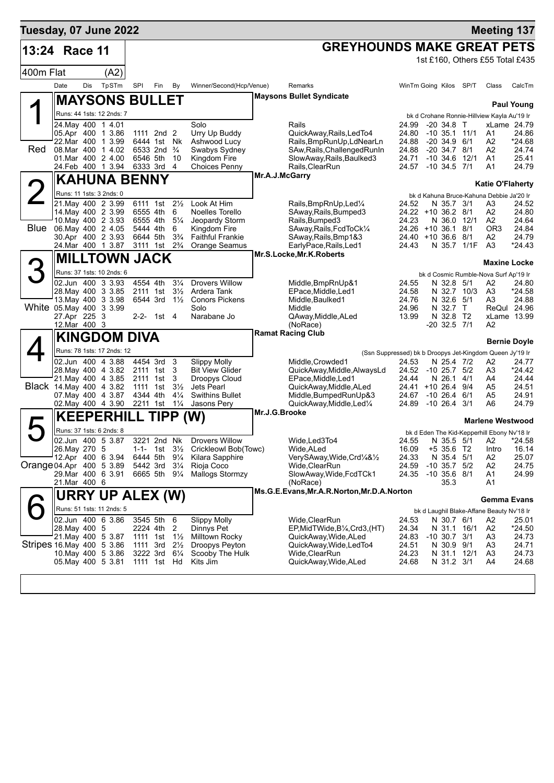| Tuesday, 07 June 2022     |                                         |     |                                          |                                                    |                                        |                                  |                                                     |                |                                                                                                 |                |                                                     |      | <b>Meeting 137</b>      |                            |
|---------------------------|-----------------------------------------|-----|------------------------------------------|----------------------------------------------------|----------------------------------------|----------------------------------|-----------------------------------------------------|----------------|-------------------------------------------------------------------------------------------------|----------------|-----------------------------------------------------|------|-------------------------|----------------------------|
| 13:24                     | Race 11                                 |     |                                          |                                                    |                                        |                                  |                                                     |                | <b>GREYHOUNDS MAKE GREAT PETS</b>                                                               |                |                                                     |      |                         |                            |
|                           |                                         |     |                                          |                                                    |                                        |                                  |                                                     |                |                                                                                                 |                | 1st £160, Others £55 Total £435                     |      |                         |                            |
| 400m Flat                 |                                         |     | (A2)                                     |                                                    |                                        |                                  |                                                     |                |                                                                                                 |                |                                                     |      |                         |                            |
|                           | Date                                    | Dis | TpSTm                                    | SPI                                                | Fin                                    | By                               | Winner/Second(Hcp/Venue)                            |                | Remarks                                                                                         |                | WinTm Going Kilos SP/T                              |      | Class                   | CalcTm                     |
|                           |                                         |     | <b>MAYSONS BULLET</b>                    |                                                    |                                        |                                  |                                                     |                | <b>Maysons Bullet Syndicate</b>                                                                 |                |                                                     |      |                         | <b>Paul Young</b>          |
|                           |                                         |     | Runs: 44 1sts: 12 2nds: 7                |                                                    |                                        |                                  |                                                     |                |                                                                                                 |                | bk d Crohane Ronnie-Hillview Kayla Au'19 Ir         |      |                         |                            |
|                           |                                         |     | 24. May 400 1 4.01<br>05.Apr 400 1 3.86  |                                                    | 1111 2nd 2                             |                                  | Solo<br>Urry Up Buddy                               |                | Rails<br>QuickAway, Rails, LedTo4                                                               | 24.99<br>24.80 | $-20, 34.8$ T<br>$-10$ 35.1 11/1                    |      | A1                      | xLame 24.79<br>24.86       |
|                           |                                         |     | 22. Mar 400 1 3.99                       |                                                    | 6444 1st Nk                            |                                  | Ashwood Lucy                                        |                | Rails, BmpRunUp, LdNearLn                                                                       | 24.88          | $-20, 34.9, 6/1$                                    |      | A2                      | *24.68                     |
| Red                       |                                         |     | 08. Mar 400 1 4.02                       | 6546 5th                                           | 6533 2nd $\frac{3}{4}$                 |                                  | Swabys Sydney                                       |                | SAw, Rails, Challenged RunIn                                                                    | 24.88          | $-20, 34.7, 8/1$                                    |      | A2                      | 24.74                      |
|                           |                                         |     | 01.Mar 400 2 4.00<br>24.Feb 400 1 3.94   | 6333 3rd                                           |                                        | 10<br>4                          | Kingdom Fire<br><b>Choices Penny</b>                |                | SlowAway, Rails, Baulked3<br>Rails, ClearRun                                                    | 24.71<br>24.57 | $-10$ 34.6<br>$-10$ 34.5 $7/1$                      | 12/1 | A1<br>A1                | 25.41<br>24.79             |
|                           |                                         |     | <b>KAHUNA BENNY</b>                      |                                                    |                                        |                                  |                                                     | Mr.A.J.McGarry |                                                                                                 |                |                                                     |      | <b>Katie O'Flaherty</b> |                            |
| $\angle$                  |                                         |     | Runs: 11 1sts: 3 2nds: 0                 |                                                    |                                        |                                  |                                                     |                |                                                                                                 |                | bk d Kahuna Bruce-Kahuna Debbie Ja'20 Ir            |      |                         |                            |
|                           |                                         |     | 21. May 400 2 3.99                       | 6111 1st                                           |                                        | $2\frac{1}{2}$                   | Look At Him                                         |                | Rails, BmpRnUp, Led <sup>1/4</sup>                                                              | 24.52          | N 35.7 3/1                                          |      | A3                      | 24.52                      |
|                           |                                         |     | 14 May 400 2 3.99<br>10 May 400 2 3.93   | 6555 4th<br>6555 4th                               |                                        | 6<br>$5\frac{1}{4}$              | Noelles Torello<br>Jeopardy Storm                   |                | SAway, Rails, Bumped 3<br>Rails, Bumped3                                                        | 24.23          | 24.22 +10 36.2 8/1<br>N 36.0 12/1                   |      | A2<br>A2                | 24.80<br>24.64             |
| Blue                      | 06. May 400 2 4.05                      |     |                                          | 5444 4th                                           |                                        | 6                                | Kingdom Fire                                        |                | SAway, Rails, FcdToCk1/4                                                                        | 24.26          | $+10$ 36.1 8/1                                      |      | OR <sub>3</sub>         | 24.84                      |
|                           |                                         |     | 30.Apr 400 2 3.93<br>24. Mar 400 1 3.87  | 6644 5th<br>3111 1st 2 <sup>3</sup> / <sub>4</sub> |                                        | $3\frac{3}{4}$                   | <b>Faithful Frankie</b><br>Orange Seamus            |                | SAway, Rails, Bmp1&3<br>EarlyPace, Rails, Led1                                                  | 24.43          | 24.40 +10 36.6 8/1<br>N 35.7 1/1F                   |      | A2<br>A <sub>3</sub>    | 24.79<br>*24.43            |
|                           |                                         |     | <b>MILLTOWN JACK</b>                     |                                                    |                                        |                                  |                                                     |                | Mr.S.Locke, Mr.K. Roberts                                                                       |                |                                                     |      |                         |                            |
| 3                         |                                         |     |                                          |                                                    |                                        |                                  |                                                     |                |                                                                                                 |                |                                                     |      | Maxine Locke            |                            |
|                           | 02.Jun 400 3 3.93                       |     | Runs: 37 1sts: 10 2nds: 6                | 4554 4th                                           |                                        | $3\frac{1}{4}$                   | <b>Drovers Willow</b>                               |                |                                                                                                 | 24.55          | bk d Cosmic Rumble-Nova Surf Ap'19 Ir<br>N 32.8 5/1 |      | A2                      | 24.80                      |
|                           |                                         |     | 28. May 400 3 3.85                       | 2111 1st                                           |                                        | $3\frac{1}{2}$                   | Ardera Tank                                         |                | Middle, BmpRnUp&1<br>EPace, Middle, Led1                                                        | 24.58          | N 32.7                                              | 10/3 | A3                      | *24.58                     |
|                           |                                         |     | 13. May 400 3 3.98                       |                                                    | 6544 3rd 1 <sup>1</sup> / <sub>2</sub> |                                  | <b>Conors Pickens</b>                               |                | Middle, Baulked1                                                                                | 24.76          | N 32.6 5/1                                          |      | A3                      | 24.88                      |
|                           | White 05 May 400 3 3.99<br>27.Apr 225 3 |     |                                          |                                                    | 2-2- 1st 4                             |                                  | Solo<br>Narabane Jo                                 |                | Middle<br>QAway, Middle, ALed                                                                   | 24.96<br>13.99 | N 32.7<br>N 32.8 T2                                 | T    |                         | ReQul 24.96<br>xLame 13.99 |
|                           | 12.Mar 400 3                            |     |                                          |                                                    |                                        |                                  |                                                     |                | (NoRace)                                                                                        |                | $-20$ 32.5 $7/1$                                    |      | A2                      |                            |
|                           |                                         |     | <b>KINGDOM DIVA</b>                      |                                                    |                                        |                                  |                                                     |                | <b>Ramat Racing Club</b>                                                                        |                |                                                     |      |                         | <b>Bernie Doyle</b>        |
|                           |                                         |     | Runs: 78 1sts: 17 2nds: 12               |                                                    |                                        |                                  |                                                     |                | (Ssn Suppressed) bk b Droopys Jet-Kingdom Queen Jy'19 Ir                                        |                |                                                     |      |                         |                            |
|                           |                                         |     | 02.Jun 400 4 3.88<br>28. May 400 4 3.82  | 4454 3rd<br>2111 1st                               |                                        | 3<br>3                           | <b>Slippy Molly</b><br><b>Bit View Glider</b>       |                | Middle, Crowded1<br>QuickAway, Middle, AlwaysLd                                                 | 24.53<br>24.52 | N 25.4 7/2<br>$-10$ 25.7 $5/2$                      |      | A2<br>A3                | 24.77<br>*24.42            |
|                           |                                         |     | 21. May 400 4 3.85                       | 2111 1st                                           |                                        | 3                                | Droopys Cloud                                       |                | EPace, Middle, Led1                                                                             | 24.44          | N 26.1                                              | 4/1  | A4                      | 24.44                      |
|                           | Black 14. May 400 4 3.82                |     |                                          | 1111 1st                                           |                                        | $3\frac{1}{2}$<br>$4\frac{1}{4}$ | <b>Jets Pearl</b><br><b>Swithins Bullet</b>         |                | QuickAway,Middle,ALed                                                                           | 24.41          | $+10$ 26.4 9/4<br>$-10$ 26.4 6/1                    |      | A5                      | 24.51                      |
|                           |                                         |     | 07. May 400 4 3.87<br>02. May 400 4 3.90 | 4344 4th<br>2211 1st 11/4                          |                                        |                                  | Jasons Pery                                         |                | Middle, BumpedRunUp&3<br>QuickAway, Middle, Led <sup>1/4</sup>                                  | 24.67<br>24.89 | $-10, 26.4, 3/1$                                    |      | A5<br>A6                | 24.91<br>24.79             |
|                           |                                         |     | <b>KEEPERHILL TIPP (W)</b>               |                                                    |                                        |                                  |                                                     | Mr.J.G.Brooke  |                                                                                                 |                |                                                     |      | <b>Marlene Westwood</b> |                            |
|                           |                                         |     | Runs: 37 1sts: 6 2nds: 8                 |                                                    |                                        |                                  |                                                     |                |                                                                                                 |                | bk d Eden The Kid-Kepperhill Ebony Nv'18 Ir         |      |                         |                            |
|                           |                                         |     | 02.Jun 400 5 3.87                        | 3221 2nd Nk                                        |                                        |                                  | <b>Drovers Willow</b>                               |                | Wide, Led 3To4                                                                                  |                | 24.55 N 35.5 5/1 A2 *24.58                          |      |                         |                            |
|                           | 26. May 270 5                           |     |                                          |                                                    |                                        |                                  | 1-1- 1st 3½ Crickleowl Bob(Towc)<br>Kilara Sapphire |                | Wide, ALed                                                                                      | 16.09          | +5 35.6 T2                                          |      | Intro                   | 16.14                      |
| Orange 04.Apr 400 5 3.89  |                                         |     | 12.Apr 400 6 3.94                        | 6444 5th 91/4<br>5442 3rd                          |                                        | $3\frac{1}{4}$                   | Rioja Coco                                          |                | VerySAway, Wide, Crd <sup>1</sup> / <sub>4</sub> & <sup>1</sup> / <sub>2</sub><br>Wide,ClearRun | 24.33<br>24.59 | N 35.4 5/1<br>$-10$ 35.7 5/2                        |      | A2<br>A2                | 25.07<br>24.75             |
|                           |                                         |     | 29.Mar 400 6 3.91                        | 6665 5th 91/4                                      |                                        |                                  | Mallogs Stormzy                                     |                | SlowAway, Wide, FcdTCk1                                                                         | 24.35          | $-10,35.6,8/1$                                      |      | A1                      | 24.99                      |
|                           | 21.Mar 400 6                            |     |                                          |                                                    |                                        |                                  |                                                     |                | (NoRace)<br>Ms.G.E.Evans, Mr.A.R.Norton, Mr.D.A.Norton                                          |                | 35.3                                                |      | A1                      |                            |
|                           |                                         |     | URRY UP ALEX (W)                         |                                                    |                                        |                                  |                                                     |                |                                                                                                 |                |                                                     |      | <b>Gemma Evans</b>      |                            |
|                           |                                         |     | Runs: 51 1sts: 11 2nds: 5                |                                                    |                                        |                                  |                                                     |                |                                                                                                 |                | bk d Laughil Blake-Affane Beauty Nv'18 Ir           |      |                         |                            |
|                           | 28.May 400 5                            |     | 02.Jun 400 6 3.86                        | 3545 5th 6<br>2224 4th                             |                                        | 2                                | <b>Slippy Molly</b><br>Dinnys Pet                   |                | Wide,ClearRun<br>EP, MidTWide, B1/4, Crd3, (HT)                                                 | 24.53<br>24.34 | N 30.7 6/1<br>N 31.1 16/1                           |      | A2<br>A2                | 25.01<br>*24.50            |
|                           |                                         |     | 21. May 400 5 3.87                       | 1111 1st                                           |                                        | $1\frac{1}{2}$                   | Milltown Rocky                                      |                | QuickAway,Wide,ALed                                                                             | 24.83          | $-10$ 30.7 $3/1$                                    |      | A3                      | 24.73                      |
| Stripes 16 May 400 5 3.86 |                                         |     | 10. May 400 5 3.86                       | 1111 3rd $2\frac{1}{2}$<br>3222 3rd                |                                        | $6\frac{1}{4}$                   | Droopys Peyton<br>Scooby The Hulk                   |                | QuickAway, Wide, LedTo4<br>Wide, ClearRun                                                       | 24.51<br>24.23 | N 30.9 9/1<br>N 31.1 12/1                           |      | A3<br>A3                | 24.71<br>24.73             |
|                           |                                         |     | 05. May 400 5 3.81                       | 1111 1st Hd                                        |                                        |                                  | Kits Jim                                            |                | QuickAway, Wide, ALed                                                                           | 24.68          | N 31.2 3/1                                          |      | A4                      | 24.68                      |
|                           |                                         |     |                                          |                                                    |                                        |                                  |                                                     |                |                                                                                                 |                |                                                     |      |                         |                            |
|                           |                                         |     |                                          |                                                    |                                        |                                  |                                                     |                |                                                                                                 |                |                                                     |      |                         |                            |